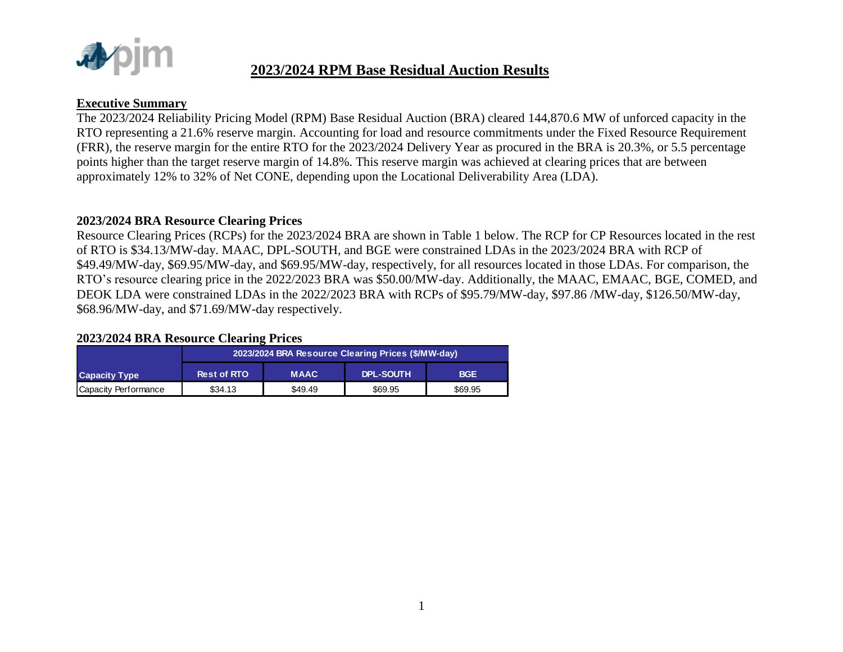

#### **Executive Summary**

The 2023/2024 Reliability Pricing Model (RPM) Base Residual Auction (BRA) cleared 144,870.6 MW of unforced capacity in the RTO representing a 21.6% reserve margin. Accounting for load and resource commitments under the Fixed Resource Requirement (FRR), the reserve margin for the entire RTO for the 2023/2024 Delivery Year as procured in the BRA is 20.3%, or 5.5 percentage points higher than the target reserve margin of 14.8%. This reserve margin was achieved at clearing prices that are between approximately 12% to 32% of Net CONE, depending upon the Locational Deliverability Area (LDA).

#### **2023/2024 BRA Resource Clearing Prices**

Resource Clearing Prices (RCPs) for the 2023/2024 BRA are shown in Table 1 below. The RCP for CP Resources located in the rest of RTO is \$34.13/MW-day. MAAC, DPL-SOUTH, and BGE were constrained LDAs in the 2023/2024 BRA with RCP of \$49.49/MW-day, \$69.95/MW-day, and \$69.95/MW-day, respectively, for all resources located in those LDAs. For comparison, the RTO's resource clearing price in the 2022/2023 BRA was \$50.00/MW-day. Additionally, the MAAC, EMAAC, BGE, COMED, and DEOK LDA were constrained LDAs in the 2022/2023 BRA with RCPs of \$95.79/MW-day, \$97.86 /MW-day, \$126.50/MW-day, \$68.96/MW-day, and \$71.69/MW-day respectively.

#### **2023/2024 BRA Resource Clearing Prices**

|                      |                    |             | 2023/2024 BRA Resource Clearing Prices (\$/MW-day) |            |
|----------------------|--------------------|-------------|----------------------------------------------------|------------|
| <b>Capacity Type</b> | <b>Rest of RTO</b> | <b>MAAC</b> | DPL-SOUTH                                          | <b>BGE</b> |
| Capacity Performance | \$34.13            | \$49.49     | \$69.95                                            | \$69.95    |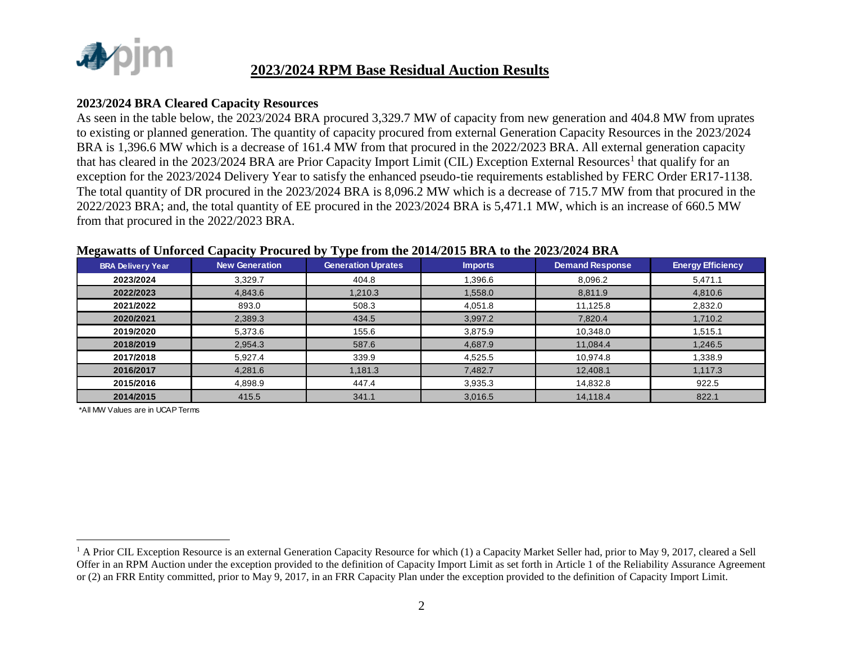

#### **2023/2024 BRA Cleared Capacity Resources**

As seen in the table below, the 2023/2024 BRA procured 3,329.7 MW of capacity from new generation and 404.8 MW from uprates to existing or planned generation. The quantity of capacity procured from external Generation Capacity Resources in the 2023/2024 BRA is 1,396.6 MW which is a decrease of 161.4 MW from that procured in the 2022/2023 BRA. All external generation capacity that has cleared in the 2023/2024 BRA are Prior Capacity Import Limit (CIL) Exception External Resources<sup>1</sup> that qualify for an exception for the 2023/2024 Delivery Year to satisfy the enhanced pseudo-tie requirements established by FERC Order ER17-1138. The total quantity of DR procured in the 2023/2024 BRA is 8,096.2 MW which is a decrease of 715.7 MW from that procured in the 2022/2023 BRA; and, the total quantity of EE procured in the 2023/2024 BRA is 5,471.1 MW, which is an increase of 660.5 MW from that procured in the 2022/2023 BRA.

| <b>BRA Delivery Year</b> | <b>New Generation</b> | <b>Generation Uprates</b> | <b>Imports</b> | <b>Demand Response</b> | <b>Energy Efficiency</b> |
|--------------------------|-----------------------|---------------------------|----------------|------------------------|--------------------------|
| 2023/2024                | 3,329.7               | 404.8                     | 1,396.6        | 8,096.2                | 5,471.1                  |
| 2022/2023                | 4,843.6               | 1,210.3                   | 1,558.0        | 8,811.9                | 4,810.6                  |
| 2021/2022                | 893.0                 | 508.3                     | 4,051.8        | 11,125.8               | 2,832.0                  |
| 2020/2021                | 2,389.3               | 434.5                     | 3,997.2        | 7,820.4                | 1,710.2                  |
| 2019/2020                | 5,373.6               | 155.6                     | 3,875.9        | 10,348.0               | 1,515.1                  |
| 2018/2019                | 2,954.3               | 587.6                     | 4,687.9        | 11,084.4               | 1,246.5                  |
| 2017/2018                | 5,927.4               | 339.9                     | 4,525.5        | 10,974.8               | 1,338.9                  |
| 2016/2017                | 4,281.6               | 1,181.3                   | 7,482.7        | 12,408.1               | 1,117.3                  |
| 2015/2016                | 4,898.9               | 447.4                     | 3,935.3        | 14,832.8               | 922.5                    |
| 2014/2015                | 415.5                 | 341.1                     | 3,016.5        | 14,118.4               | 822.1                    |

#### **Megawatts of Unforced Capacity Procured by Type from the 2014/2015 BRA to the 2023/2024 BRA**

\*All MW Values are in UCAP Terms

 $\overline{a}$ 

<sup>&</sup>lt;sup>1</sup> A Prior CIL Exception Resource is an external Generation Capacity Resource for which (1) a Capacity Market Seller had, prior to May 9, 2017, cleared a Sell Offer in an RPM Auction under the exception provided to the definition of Capacity Import Limit as set forth in Article 1 of the Reliability Assurance Agreement or (2) an FRR Entity committed, prior to May 9, 2017, in an FRR Capacity Plan under the exception provided to the definition of Capacity Import Limit.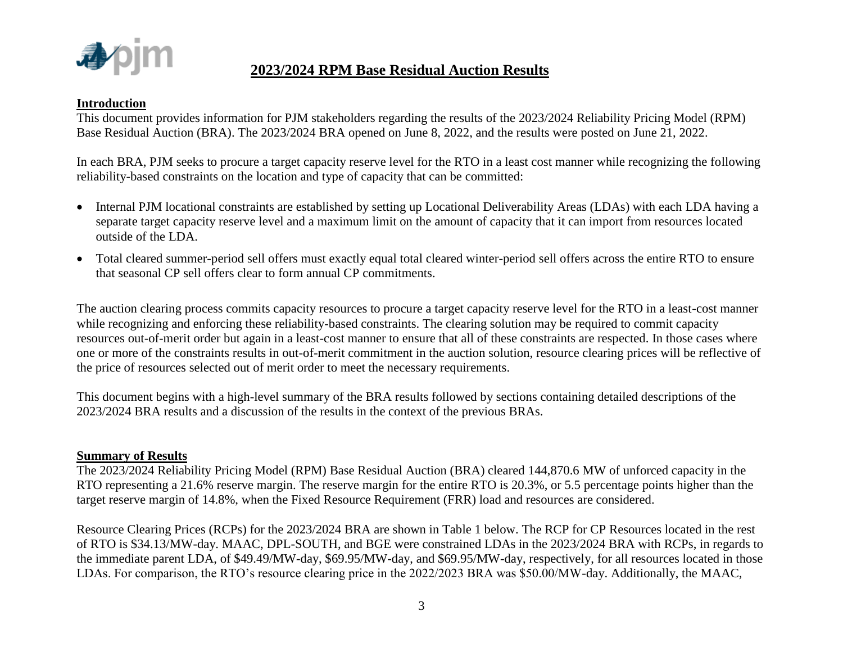

#### **Introduction**

This document provides information for PJM stakeholders regarding the results of the 2023/2024 Reliability Pricing Model (RPM) Base Residual Auction (BRA). The 2023/2024 BRA opened on June 8, 2022, and the results were posted on June 21, 2022.

In each BRA, PJM seeks to procure a target capacity reserve level for the RTO in a least cost manner while recognizing the following reliability-based constraints on the location and type of capacity that can be committed:

- Internal PJM locational constraints are established by setting up Locational Deliverability Areas (LDAs) with each LDA having a separate target capacity reserve level and a maximum limit on the amount of capacity that it can import from resources located outside of the LDA.
- Total cleared summer-period sell offers must exactly equal total cleared winter-period sell offers across the entire RTO to ensure that seasonal CP sell offers clear to form annual CP commitments.

The auction clearing process commits capacity resources to procure a target capacity reserve level for the RTO in a least-cost manner while recognizing and enforcing these reliability-based constraints. The clearing solution may be required to commit capacity resources out-of-merit order but again in a least-cost manner to ensure that all of these constraints are respected. In those cases where one or more of the constraints results in out-of-merit commitment in the auction solution, resource clearing prices will be reflective of the price of resources selected out of merit order to meet the necessary requirements.

This document begins with a high-level summary of the BRA results followed by sections containing detailed descriptions of the 2023/2024 BRA results and a discussion of the results in the context of the previous BRAs.

#### **Summary of Results**

The 2023/2024 Reliability Pricing Model (RPM) Base Residual Auction (BRA) cleared 144,870.6 MW of unforced capacity in the RTO representing a 21.6% reserve margin. The reserve margin for the entire RTO is 20.3%, or 5.5 percentage points higher than the target reserve margin of 14.8%, when the Fixed Resource Requirement (FRR) load and resources are considered.

Resource Clearing Prices (RCPs) for the 2023/2024 BRA are shown in Table 1 below. The RCP for CP Resources located in the rest of RTO is \$34.13/MW-day. MAAC, DPL-SOUTH, and BGE were constrained LDAs in the 2023/2024 BRA with RCPs, in regards to the immediate parent LDA, of \$49.49/MW-day, \$69.95/MW-day, and \$69.95/MW-day, respectively, for all resources located in those LDAs. For comparison, the RTO's resource clearing price in the 2022/2023 BRA was \$50.00/MW-day. Additionally, the MAAC,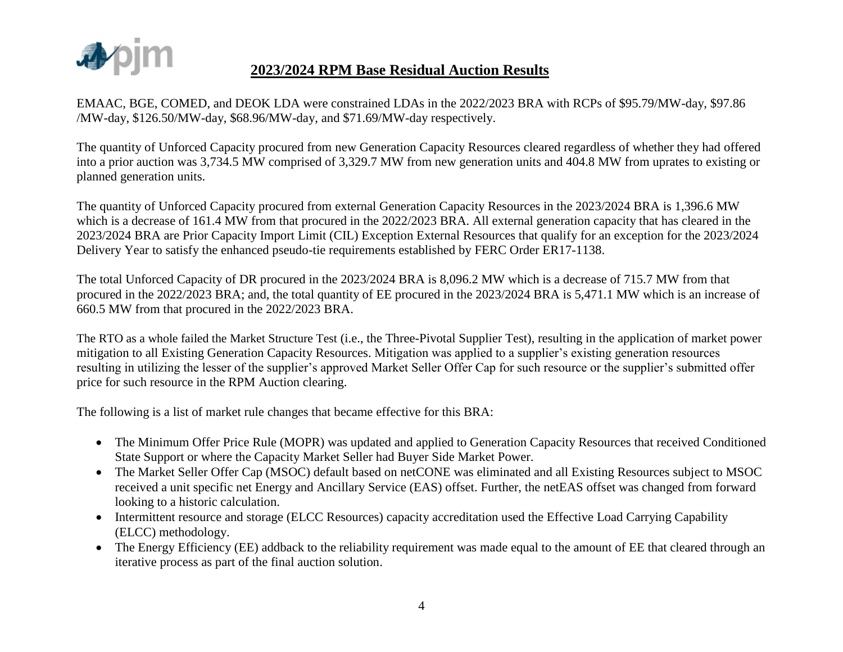

EMAAC, BGE, COMED, and DEOK LDA were constrained LDAs in the 2022/2023 BRA with RCPs of \$95.79/MW-day, \$97.86 /MW-day, \$126.50/MW-day, \$68.96/MW-day, and \$71.69/MW-day respectively.

The quantity of Unforced Capacity procured from new Generation Capacity Resources cleared regardless of whether they had offered into a prior auction was 3,734.5 MW comprised of 3,329.7 MW from new generation units and 404.8 MW from uprates to existing or planned generation units.

The quantity of Unforced Capacity procured from external Generation Capacity Resources in the 2023/2024 BRA is 1,396.6 MW which is a decrease of 161.4 MW from that procured in the 2022/2023 BRA. All external generation capacity that has cleared in the 2023/2024 BRA are Prior Capacity Import Limit (CIL) Exception External Resources that qualify for an exception for the 2023/2024 Delivery Year to satisfy the enhanced pseudo-tie requirements established by FERC Order ER17-1138.

The total Unforced Capacity of DR procured in the 2023/2024 BRA is 8,096.2 MW which is a decrease of 715.7 MW from that procured in the 2022/2023 BRA; and, the total quantity of EE procured in the 2023/2024 BRA is 5,471.1 MW which is an increase of 660.5 MW from that procured in the 2022/2023 BRA.

The RTO as a whole failed the Market Structure Test (i.e., the Three-Pivotal Supplier Test), resulting in the application of market power mitigation to all Existing Generation Capacity Resources. Mitigation was applied to a supplier's existing generation resources resulting in utilizing the lesser of the supplier's approved Market Seller Offer Cap for such resource or the supplier's submitted offer price for such resource in the RPM Auction clearing.

The following is a list of market rule changes that became effective for this BRA:

- The Minimum Offer Price Rule (MOPR) was updated and applied to Generation Capacity Resources that received Conditioned State Support or where the Capacity Market Seller had Buyer Side Market Power.
- The Market Seller Offer Cap (MSOC) default based on netCONE was eliminated and all Existing Resources subject to MSOC received a unit specific net Energy and Ancillary Service (EAS) offset. Further, the netEAS offset was changed from forward looking to a historic calculation.
- Intermittent resource and storage (ELCC Resources) capacity accreditation used the Effective Load Carrying Capability (ELCC) methodology.
- The Energy Efficiency (EE) addback to the reliability requirement was made equal to the amount of EE that cleared through an iterative process as part of the final auction solution.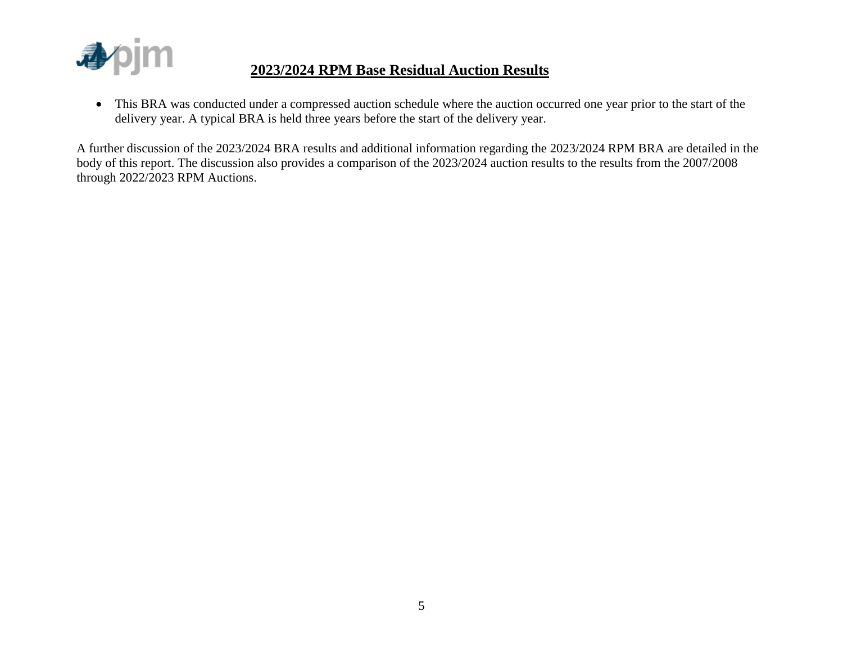

 This BRA was conducted under a compressed auction schedule where the auction occurred one year prior to the start of the delivery year. A typical BRA is held three years before the start of the delivery year.

A further discussion of the 2023/2024 BRA results and additional information regarding the 2023/2024 RPM BRA are detailed in the body of this report. The discussion also provides a comparison of the 2023/2024 auction results to the results from the 2007/2008 through 2022/2023 RPM Auctions.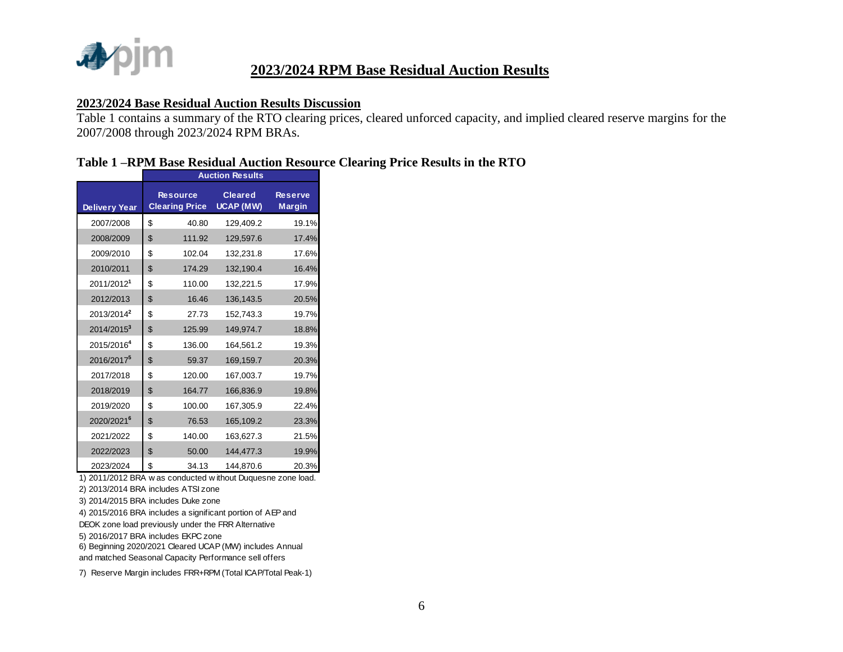

#### **2023/2024 Base Residual Auction Results Discussion**

Table 1 contains a summary of the RTO clearing prices, cleared unforced capacity, and implied cleared reserve margins for the 2007/2008 through 2023/2024 RPM BRAs.

#### **Table 1 –RPM Base Residual Auction Resource Clearing Price Results in the RTO**

|                        |                                          | <b>Auction Results</b>      |                          |
|------------------------|------------------------------------------|-----------------------------|--------------------------|
| <b>Delivery Year</b>   | <b>Resource</b><br><b>Clearing Price</b> | <b>Cleared</b><br>UCAP (MW) | <b>Reserve</b><br>Margin |
| 2007/2008              | \$<br>40.80                              | 129,409.2                   | 19.1%                    |
| 2008/2009              | \$<br>111.92                             | 129,597.6                   | 17.4%                    |
| 2009/2010              | \$<br>102.04                             | 132,231.8                   | 17.6%                    |
| 2010/2011              | \$<br>174.29                             | 132,190.4                   | 16.4%                    |
| 2011/2012 <sup>1</sup> | \$<br>110.00                             | 132.221.5                   | 17.9%                    |
| 2012/2013              | \$<br>16.46                              | 136,143.5                   | 20.5%                    |
| 2013/2014 <sup>2</sup> | \$<br>27.73                              | 152,743.3                   | 19.7%                    |
| 2014/2015 <sup>3</sup> | \$<br>125.99                             | 149,974.7                   | 18.8%                    |
| 2015/2016 <sup>4</sup> | \$<br>136.00                             | 164,561.2                   | 19.3%                    |
| 2016/2017 <sup>5</sup> | \$<br>59.37                              | 169,159.7                   | 20.3%                    |
| 2017/2018              | \$<br>120.00                             | 167,003.7                   | 19.7%                    |
| 2018/2019              | \$<br>164.77                             | 166,836.9                   | 19.8%                    |
| 2019/2020              | \$<br>100.00                             | 167,305.9                   | 22.4%                    |
| 2020/2021 <sup>6</sup> | \$<br>76.53                              | 165,109.2                   | 23.3%                    |
| 2021/2022              | \$<br>140.00                             | 163,627.3                   | 21.5%                    |
| 2022/2023              | \$<br>50.00                              | 144,477.3                   | 19.9%                    |
| 2023/2024              | \$<br>34.13                              | 144.870.6                   | 20.3%                    |

1) 2011/2012 BRA w as conducted w ithout Duquesne zone load.

2) 2013/2014 BRA includes ATSI zone

3) 2014/2015 BRA includes Duke zone

4) 2015/2016 BRA includes a significant portion of AEP and DEOK zone load previously under the FRR Alternative

5) 2016/2017 BRA includes EKPC zone

6) Beginning 2020/2021 Cleared UCAP (MW) includes Annual and matched Seasonal Capacity Performance sell offers

7) Reserve Margin includes FRR+RPM (Total ICAP/Total Peak-1)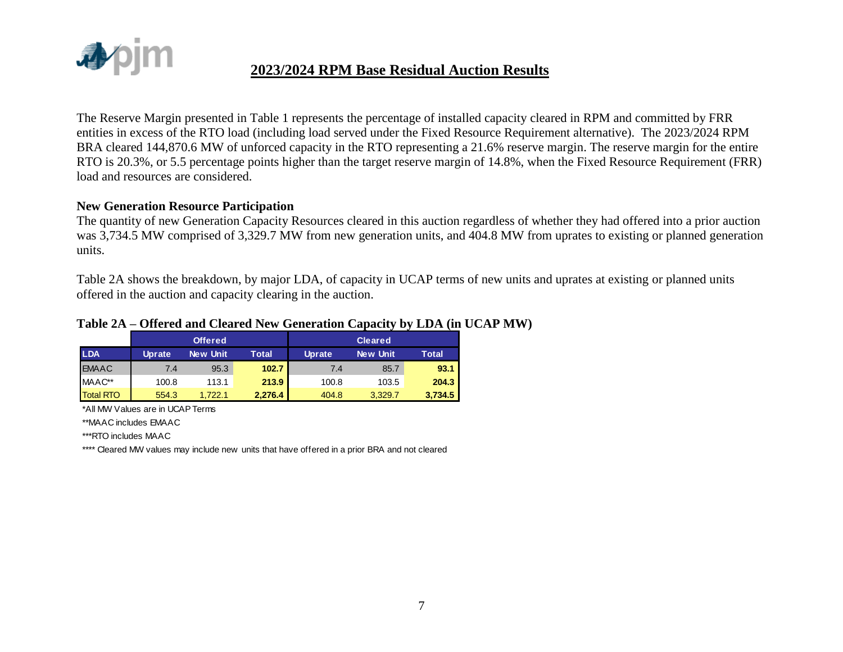

The Reserve Margin presented in Table 1 represents the percentage of installed capacity cleared in RPM and committed by FRR entities in excess of the RTO load (including load served under the Fixed Resource Requirement alternative). The 2023/2024 RPM BRA cleared 144,870.6 MW of unforced capacity in the RTO representing a 21.6% reserve margin. The reserve margin for the entire RTO is 20.3%, or 5.5 percentage points higher than the target reserve margin of 14.8%, when the Fixed Resource Requirement (FRR) load and resources are considered.

#### **New Generation Resource Participation**

The quantity of new Generation Capacity Resources cleared in this auction regardless of whether they had offered into a prior auction was 3,734.5 MW comprised of 3,329.7 MW from new generation units, and 404.8 MW from uprates to existing or planned generation units.

Table 2A shows the breakdown, by major LDA, of capacity in UCAP terms of new units and uprates at existing or planned units offered in the auction and capacity clearing in the auction.

# **Table 2A – Offered and Cleared New Generation Capacity by LDA (in UCAP MW)**

|                  |               | <b>Offered</b>  |         |               | <b>Cleared</b> |              |
|------------------|---------------|-----------------|---------|---------------|----------------|--------------|
| <b>LDA</b>       | <b>Uprate</b> | <b>New Unit</b> | Total   | <b>Uprate</b> | New Unit       | <b>Total</b> |
| <b>EMAAC</b>     | 7.4           | 95.3            | 102.7   | 7.4           | 85.7           | 93.1         |
| MAAC**           | 100.8         | 113.1           | 213.9   | 100.8         | 103.5          | 204.3        |
| <b>Total RTO</b> | 554.3         | 1.722.1         | 2.276.4 | 404.8         | 3.329.7        | 3,734.5      |

\*All MW Values are in UCAP Terms

\*\*MAAC includes EMAAC

\*\*\*RTO includes MAAC

\*\*\*\* Cleared MW values may include new units that have offered in a prior BRA and not cleared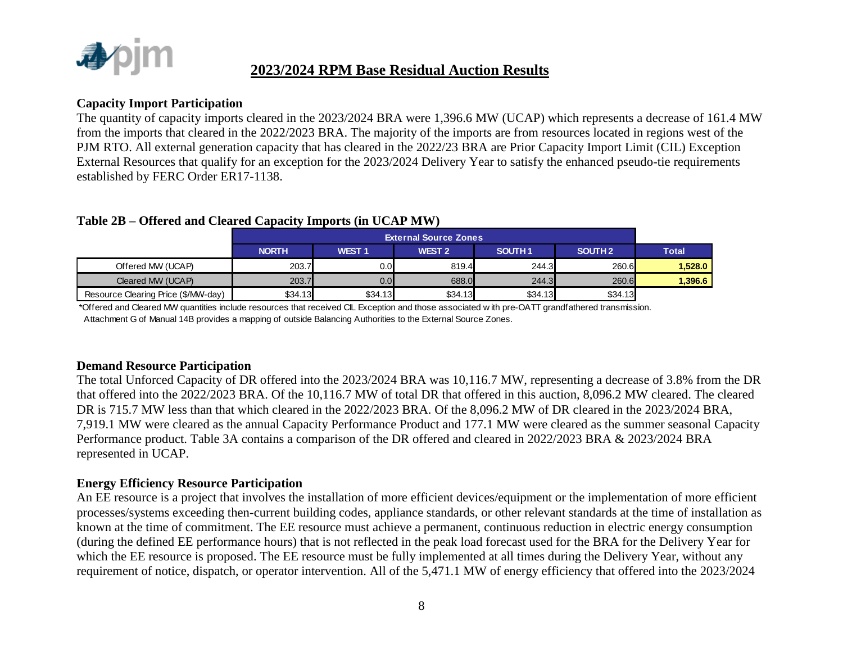

#### **Capacity Import Participation**

The quantity of capacity imports cleared in the 2023/2024 BRA were 1,396.6 MW (UCAP) which represents a decrease of 161.4 MW from the imports that cleared in the 2022/2023 BRA. The majority of the imports are from resources located in regions west of the PJM RTO. All external generation capacity that has cleared in the 2022/23 BRA are Prior Capacity Import Limit (CIL) Exception External Resources that qualify for an exception for the 2023/2024 Delivery Year to satisfy the enhanced pseudo-tie requirements established by FERC Order ER17-1138.

|                                     | <b>External Source Zones</b> |              |                   |                    |                    |              |  |  |  |  |
|-------------------------------------|------------------------------|--------------|-------------------|--------------------|--------------------|--------------|--|--|--|--|
|                                     | <b>NORTH</b>                 | <b>WEST1</b> | WEST <sub>2</sub> | SOUTH <sub>1</sub> | SOUTH <sub>2</sub> | <b>Total</b> |  |  |  |  |
| Offered MW (UCAP)                   | 203.7                        | 0.0          | 819.4             | 244.3              | <b>260.6</b>       | 1.528.0      |  |  |  |  |
| Cleared MW (UCAP)                   | 203.7                        | 0.0          | 688.0             | 244.3              | 260.6              | 1,396.6      |  |  |  |  |
| Resource Clearing Price (\$/MW-day) | \$34.13                      | \$34.13      | \$34.13           | \$34.13            | \$34.13            |              |  |  |  |  |

### **Table 2B – Offered and Cleared Capacity Imports (in UCAP MW)**

\*Offered and Cleared MW quantities include resources that received CIL Exception and those associated w ith pre-OATT grandfathered transmission. Attachment G of Manual 14B provides a mapping of outside Balancing Authorities to the External Source Zones.

#### **Demand Resource Participation**

The total Unforced Capacity of DR offered into the 2023/2024 BRA was 10,116.7 MW, representing a decrease of 3.8% from the DR that offered into the 2022/2023 BRA. Of the 10,116.7 MW of total DR that offered in this auction, 8,096.2 MW cleared. The cleared DR is 715.7 MW less than that which cleared in the 2022/2023 BRA. Of the 8,096.2 MW of DR cleared in the 2023/2024 BRA, 7,919.1 MW were cleared as the annual Capacity Performance Product and 177.1 MW were cleared as the summer seasonal Capacity Performance product. Table 3A contains a comparison of the DR offered and cleared in 2022/2023 BRA & 2023/2024 BRA represented in UCAP.

#### **Energy Efficiency Resource Participation**

An EE resource is a project that involves the installation of more efficient devices/equipment or the implementation of more efficient processes/systems exceeding then-current building codes, appliance standards, or other relevant standards at the time of installation as known at the time of commitment. The EE resource must achieve a permanent, continuous reduction in electric energy consumption (during the defined EE performance hours) that is not reflected in the peak load forecast used for the BRA for the Delivery Year for which the EE resource is proposed. The EE resource must be fully implemented at all times during the Delivery Year, without any requirement of notice, dispatch, or operator intervention. All of the 5,471.1 MW of energy efficiency that offered into the 2023/2024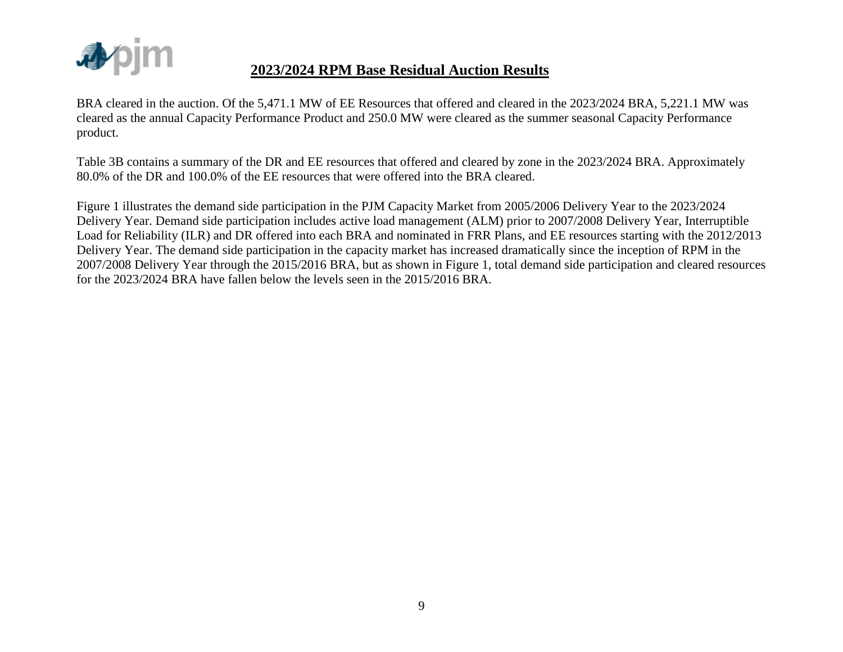

BRA cleared in the auction. Of the 5,471.1 MW of EE Resources that offered and cleared in the 2023/2024 BRA, 5,221.1 MW was cleared as the annual Capacity Performance Product and 250.0 MW were cleared as the summer seasonal Capacity Performance product.

Table 3B contains a summary of the DR and EE resources that offered and cleared by zone in the 2023/2024 BRA. Approximately 80.0% of the DR and 100.0% of the EE resources that were offered into the BRA cleared.

Figure 1 illustrates the demand side participation in the PJM Capacity Market from 2005/2006 Delivery Year to the 2023/2024 Delivery Year. Demand side participation includes active load management (ALM) prior to 2007/2008 Delivery Year, Interruptible Load for Reliability (ILR) and DR offered into each BRA and nominated in FRR Plans, and EE resources starting with the 2012/2013 Delivery Year. The demand side participation in the capacity market has increased dramatically since the inception of RPM in the 2007/2008 Delivery Year through the 2015/2016 BRA, but as shown in Figure 1, total demand side participation and cleared resources for the 2023/2024 BRA have fallen below the levels seen in the 2015/2016 BRA.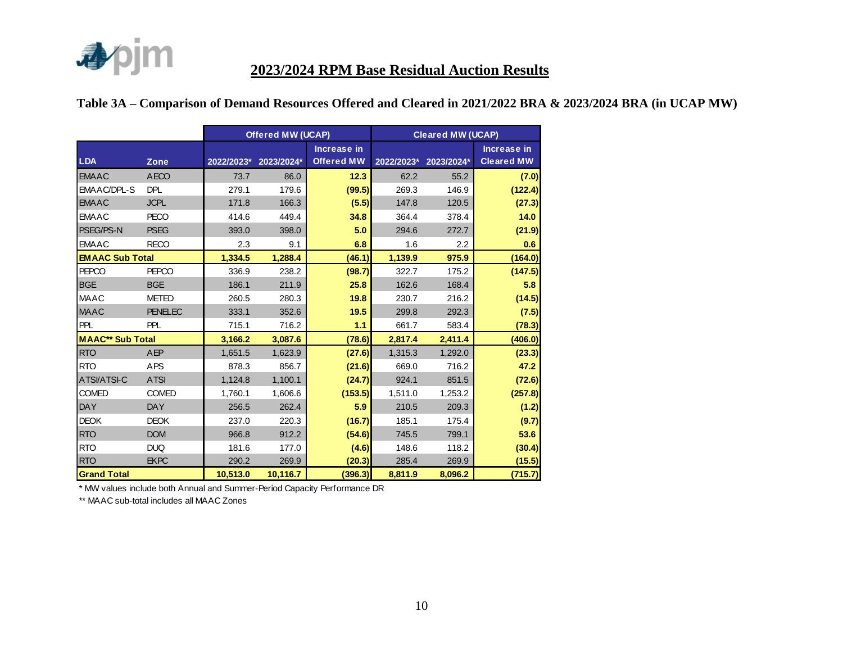

#### **Table 3A – Comparison of Demand Resources Offered and Cleared in 2021/2022 BRA & 2023/2024 BRA (in UCAP MW)**

|                         |                |            | <b>Offered MW (UCAP)</b> |                                  | <b>Cleared MW (UCAP)</b> |            |                                         |  |
|-------------------------|----------------|------------|--------------------------|----------------------------------|--------------------------|------------|-----------------------------------------|--|
| <b>LDA</b>              | Zone           | 2022/2023* | 2023/2024*               | Increase in<br><b>Offered MW</b> | 2022/2023*               | 2023/2024* | <b>Increase in</b><br><b>Cleared MW</b> |  |
| <b>EMAAC</b>            | <b>AECO</b>    | 73.7       | 86.0                     | 12.3                             | 62.2                     | 55.2       | (7.0)                                   |  |
| EMAAC/DPL-S             | <b>DPL</b>     | 279.1      | 179.6                    | (99.5)                           | 269.3                    | 146.9      | (122.4)                                 |  |
| <b>EMAAC</b>            | <b>JCPL</b>    | 171.8      | 166.3                    | (5.5)                            | 147.8                    | 120.5      | (27.3)                                  |  |
| <b>EMAAC</b>            | <b>PECO</b>    | 414.6      | 449.4                    | 34.8                             | 364.4                    | 378.4      | 14.0                                    |  |
| PSEG/PS-N               | <b>PSEG</b>    | 393.0      | 398.0                    | 5.0                              | 294.6                    | 272.7      | (21.9)                                  |  |
| <b>EMAAC</b>            | <b>RECO</b>    | 2.3        | 9.1                      | 6.8                              | 1.6                      | 2.2        | 0.6                                     |  |
| <b>EMAAC Sub Total</b>  |                | 1,334.5    | 1,288.4                  | (46.1)                           | 1,139.9                  | 975.9      | (164.0)                                 |  |
| <b>PEPCO</b>            | <b>PEPCO</b>   | 336.9      | 238.2                    | (98.7)                           | 322.7                    | 175.2      | (147.5)                                 |  |
| <b>BGE</b>              | <b>BGE</b>     | 186.1      | 211.9                    | 25.8                             | 162.6                    | 168.4      | 5.8                                     |  |
| <b>MAAC</b>             | <b>METED</b>   | 260.5      | 280.3                    | 19.8                             | 230.7                    | 216.2      | (14.5)                                  |  |
| <b>MAAC</b>             | <b>PENELEC</b> | 333.1      | 352.6                    | 19.5                             | 299.8                    | 292.3      | (7.5)                                   |  |
| <b>PPL</b>              | <b>PPL</b>     | 715.1      | 716.2                    | 1.1                              | 661.7                    | 583.4      | (78.3)                                  |  |
| <b>MAAC** Sub Total</b> |                | 3,166.2    | 3,087.6                  | (78.6)                           | 2,817.4                  | 2,411.4    | (406.0)                                 |  |
| <b>RTO</b>              | <b>AEP</b>     | 1,651.5    | 1,623.9                  | (27.6)                           | 1,315.3                  | 1,292.0    | (23.3)                                  |  |
| <b>RTO</b>              | <b>APS</b>     | 878.3      | 856.7                    | (21.6)                           | 669.0                    | 716.2      | 47.2                                    |  |
| <b>ATSVATSI-C</b>       | <b>ATSI</b>    | 1,124.8    | 1,100.1                  | (24.7)                           | 924.1                    | 851.5      | (72.6)                                  |  |
| <b>COMED</b>            | COMED          | 1,760.1    | 1,606.6                  | (153.5)                          | 1,511.0                  | 1,253.2    | (257.8)                                 |  |
| <b>DAY</b>              | <b>DAY</b>     | 256.5      | 262.4                    | 5.9                              | 210.5                    | 209.3      | (1.2)                                   |  |
| <b>DEOK</b>             | <b>DEOK</b>    | 237.0      | 220.3                    | (16.7)                           | 185.1                    | 175.4      | (9.7)                                   |  |
| <b>RTO</b>              | <b>DOM</b>     | 966.8      | 912.2                    | (54.6)                           | 745.5                    | 799.1      | 53.6                                    |  |
| <b>RTO</b>              | <b>DUQ</b>     | 181.6      | 177.0                    | (4.6)                            | 148.6                    | 118.2      | (30.4)                                  |  |
| <b>RTO</b>              | <b>EKPC</b>    | 290.2      | 269.9                    | (20.3)                           | 285.4                    | 269.9      | (15.5)                                  |  |
| <b>Grand Total</b>      |                | 10,513.0   | 10,116.7                 | (396.3)                          | 8,811.9                  | 8,096.2    | (715.7)                                 |  |

\* MW values include both Annual and Summer-Period Capacity Performance DR

\*\* MAAC sub-total includes all MAAC Zones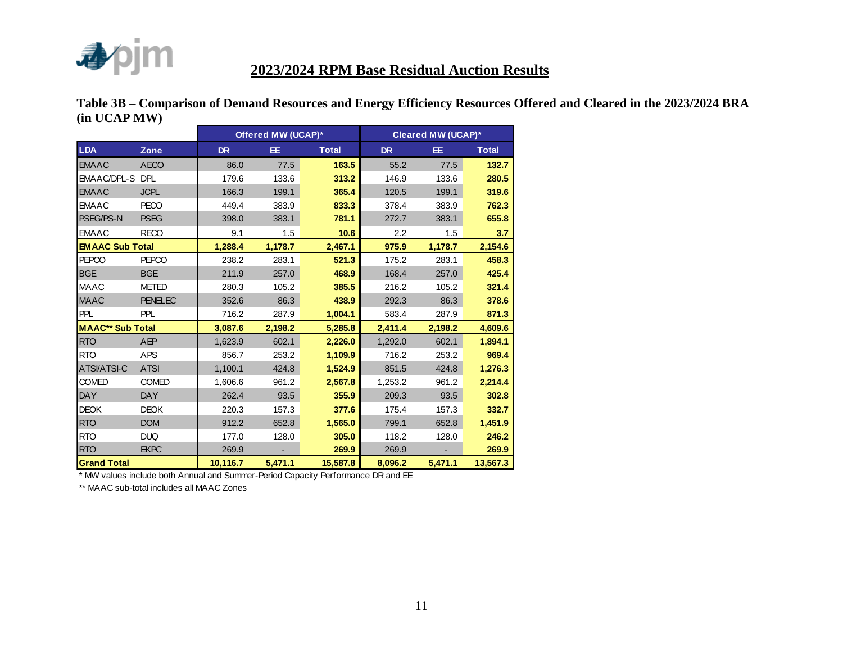

|             | Table 3B – Comparison of Demand Resources and Energy Efficiency Resources Offered and Cleared in the 2023/2024 BRA |  |  |  |
|-------------|--------------------------------------------------------------------------------------------------------------------|--|--|--|
| (in UCAPMW) |                                                                                                                    |  |  |  |

|                         |                |           | Offered MW (UCAP)* |              |           | Cleared MW (UCAP)*       |              |
|-------------------------|----------------|-----------|--------------------|--------------|-----------|--------------------------|--------------|
| <b>LDA</b>              | <b>Zone</b>    | <b>DR</b> | EE.                | <b>Total</b> | <b>DR</b> | EE.                      | <b>Total</b> |
| <b>EMAAC</b>            | <b>AECO</b>    | 86.0      | 77.5               | 163.5        | 55.2      | 77.5                     | 132.7        |
| EMAAC/DPL-S DPL         |                | 179.6     | 133.6              | 313.2        | 146.9     | 133.6                    | 280.5        |
| <b>EMAAC</b>            | <b>JCPL</b>    | 166.3     | 199.1              | 365.4        | 120.5     | 199.1                    | 319.6        |
| <b>EMAAC</b>            | <b>PECO</b>    | 449.4     | 383.9              | 833.3        | 378.4     | 383.9                    | 762.3        |
| PSEG/PS-N               | <b>PSEG</b>    | 398.0     | 383.1              | 781.1        | 272.7     | 383.1                    | 655.8        |
| <b>EMAAC</b>            | <b>RECO</b>    | 9.1       | 1.5                | 10.6         | 2.2       | 1.5                      | 3.7          |
| <b>EMAAC Sub Total</b>  |                | 1,288.4   | 1,178.7            | 2,467.1      | 975.9     | 1,178.7                  | 2,154.6      |
| <b>PEPCO</b>            | <b>PEPCO</b>   | 238.2     | 283.1              | 521.3        | 175.2     | 283.1                    | 458.3        |
| BGE                     | <b>BGE</b>     | 211.9     | 257.0              | 468.9        | 168.4     | 257.0                    | 425.4        |
| <b>MAAC</b>             | <b>METED</b>   | 280.3     | 105.2              | 385.5        | 216.2     | 105.2                    | 321.4        |
| <b>MAAC</b>             | <b>PENELEC</b> | 352.6     | 86.3               | 438.9        | 292.3     | 86.3                     | 378.6        |
| <b>PPL</b>              | PPL            | 716.2     | 287.9              | 1,004.1      | 583.4     | 287.9                    | 871.3        |
| <b>MAAC** Sub Total</b> |                | 3,087.6   | 2,198.2            | 5,285.8      | 2,411.4   | 2,198.2                  | 4,609.6      |
| <b>RTO</b>              | <b>AEP</b>     | 1,623.9   | 602.1              | 2,226.0      | 1,292.0   | 602.1                    | 1,894.1      |
| <b>RTO</b>              | <b>APS</b>     | 856.7     | 253.2              | 1,109.9      | 716.2     | 253.2                    | 969.4        |
| <b>ATSVATSI-C</b>       | <b>ATSI</b>    | 1,100.1   | 424.8              | 1,524.9      | 851.5     | 424.8                    | 1,276.3      |
| <b>COMED</b>            | <b>COMED</b>   | 1,606.6   | 961.2              | 2,567.8      | 1,253.2   | 961.2                    | 2,214.4      |
| <b>DAY</b>              | <b>DAY</b>     | 262.4     | 93.5               | 355.9        | 209.3     | 93.5                     | 302.8        |
| <b>DEOK</b>             | <b>DEOK</b>    | 220.3     | 157.3              | 377.6        | 175.4     | 157.3                    | 332.7        |
| <b>RTO</b>              | <b>DOM</b>     | 912.2     | 652.8              | 1,565.0      | 799.1     | 652.8                    | 1,451.9      |
| <b>RTO</b>              | <b>DUQ</b>     | 177.0     | 128.0              | 305.0        | 118.2     | 128.0                    | 246.2        |
| <b>RTO</b>              | <b>EKPC</b>    | 269.9     |                    | 269.9        | 269.9     | $\overline{\phantom{0}}$ | 269.9        |
| <b>Grand Total</b>      |                | 10,116.7  | 5,471.1            | 15,587.8     | 8,096.2   | 5,471.1                  | 13,567.3     |

\* MW values include both Annual and Summer-Period Capacity Performance DR and EE

\*\* MAAC sub-total includes all MAAC Zones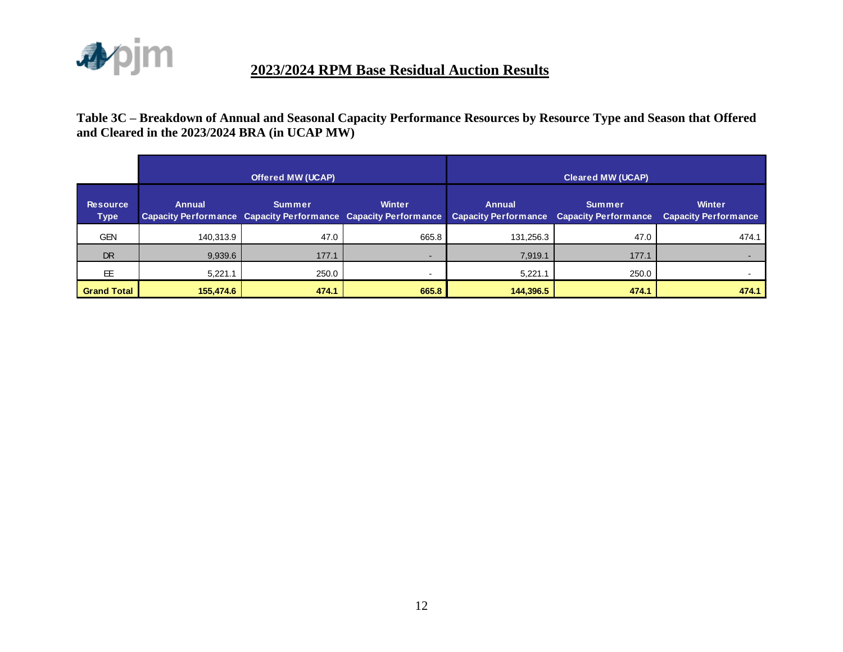

**Table 3C – Breakdown of Annual and Seasonal Capacity Performance Resources by Resource Type and Season that Offered and Cleared in the 2023/2024 BRA (in UCAP MW)**

|                                |               | <b>Offered MW (UCAP)</b> |                                                                                 | <b>Cleared MW (UCAP)</b>                                          |               |                                              |  |  |  |
|--------------------------------|---------------|--------------------------|---------------------------------------------------------------------------------|-------------------------------------------------------------------|---------------|----------------------------------------------|--|--|--|
| <b>Resource</b><br><b>Type</b> | <b>Annual</b> | <b>Summer</b>            | <b>Winter</b><br>Capacity Performance Capacity Performance Capacity Performance | <b>Annual</b><br><b>Capacity Performance Capacity Performance</b> | <b>Summer</b> | <b>Winter</b><br><b>Capacity Performance</b> |  |  |  |
| <b>GEN</b>                     | 140,313.9     | 47.0                     | 665.8                                                                           | 131,256.3                                                         | 47.0          | 474.1                                        |  |  |  |
| <b>DR</b>                      | 9,939.6       | 177.1                    | $\sim$                                                                          | 7,919.1                                                           | 177.1         |                                              |  |  |  |
| EE                             | 5,221.1       | 250.0                    | $\sim$                                                                          | 5,221.1                                                           | 250.0         |                                              |  |  |  |
| <b>Grand Total</b>             | 155,474.6     | 474.1                    | 665.8                                                                           | 144,396.5                                                         | 474.1         | 474.1                                        |  |  |  |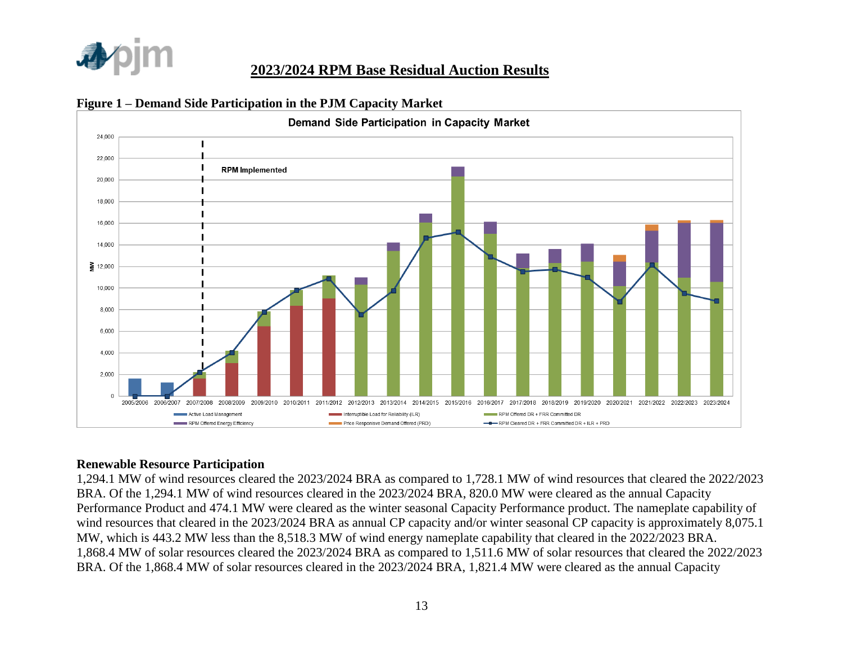



#### **Figure 1 – Demand Side Participation in the PJM Capacity Market**

#### **Renewable Resource Participation**

1,294.1 MW of wind resources cleared the 2023/2024 BRA as compared to 1,728.1 MW of wind resources that cleared the 2022/2023 BRA. Of the 1,294.1 MW of wind resources cleared in the 2023/2024 BRA, 820.0 MW were cleared as the annual Capacity Performance Product and 474.1 MW were cleared as the winter seasonal Capacity Performance product. The nameplate capability of wind resources that cleared in the 2023/2024 BRA as annual CP capacity and/or winter seasonal CP capacity is approximately 8,075.1 MW, which is 443.2 MW less than the 8,518.3 MW of wind energy nameplate capability that cleared in the 2022/2023 BRA. 1,868.4 MW of solar resources cleared the 2023/2024 BRA as compared to 1,511.6 MW of solar resources that cleared the 2022/2023 BRA. Of the 1,868.4 MW of solar resources cleared in the 2023/2024 BRA, 1,821.4 MW were cleared as the annual Capacity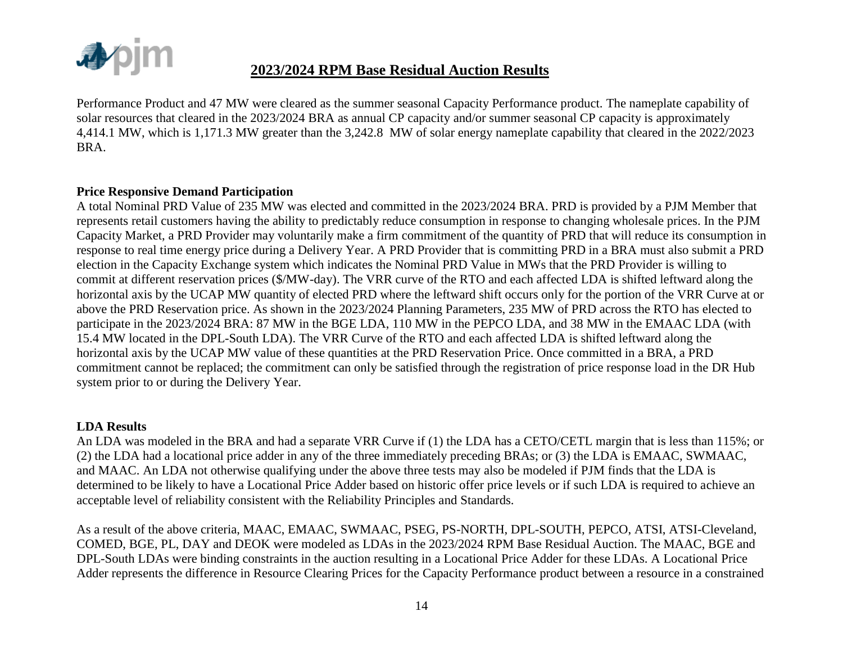

Performance Product and 47 MW were cleared as the summer seasonal Capacity Performance product. The nameplate capability of solar resources that cleared in the 2023/2024 BRA as annual CP capacity and/or summer seasonal CP capacity is approximately 4,414.1 MW, which is 1,171.3 MW greater than the 3,242.8 MW of solar energy nameplate capability that cleared in the 2022/2023 BRA.

#### **Price Responsive Demand Participation**

A total Nominal PRD Value of 235 MW was elected and committed in the 2023/2024 BRA. PRD is provided by a PJM Member that represents retail customers having the ability to predictably reduce consumption in response to changing wholesale prices. In the PJM Capacity Market, a PRD Provider may voluntarily make a firm commitment of the quantity of PRD that will reduce its consumption in response to real time energy price during a Delivery Year. A PRD Provider that is committing PRD in a BRA must also submit a PRD election in the Capacity Exchange system which indicates the Nominal PRD Value in MWs that the PRD Provider is willing to commit at different reservation prices (\$/MW-day). The VRR curve of the RTO and each affected LDA is shifted leftward along the horizontal axis by the UCAP MW quantity of elected PRD where the leftward shift occurs only for the portion of the VRR Curve at or above the PRD Reservation price. As shown in the 2023/2024 Planning Parameters, 235 MW of PRD across the RTO has elected to participate in the 2023/2024 BRA: 87 MW in the BGE LDA, 110 MW in the PEPCO LDA, and 38 MW in the EMAAC LDA (with 15.4 MW located in the DPL-South LDA). The VRR Curve of the RTO and each affected LDA is shifted leftward along the horizontal axis by the UCAP MW value of these quantities at the PRD Reservation Price. Once committed in a BRA, a PRD commitment cannot be replaced; the commitment can only be satisfied through the registration of price response load in the DR Hub system prior to or during the Delivery Year.

#### **LDA Results**

An LDA was modeled in the BRA and had a separate VRR Curve if (1) the LDA has a CETO/CETL margin that is less than 115%; or (2) the LDA had a locational price adder in any of the three immediately preceding BRAs; or (3) the LDA is EMAAC, SWMAAC, and MAAC. An LDA not otherwise qualifying under the above three tests may also be modeled if PJM finds that the LDA is determined to be likely to have a Locational Price Adder based on historic offer price levels or if such LDA is required to achieve an acceptable level of reliability consistent with the Reliability Principles and Standards.

As a result of the above criteria, MAAC, EMAAC, SWMAAC, PSEG, PS-NORTH, DPL-SOUTH, PEPCO, ATSI, ATSI-Cleveland, COMED, BGE, PL, DAY and DEOK were modeled as LDAs in the 2023/2024 RPM Base Residual Auction. The MAAC, BGE and DPL-South LDAs were binding constraints in the auction resulting in a Locational Price Adder for these LDAs. A Locational Price Adder represents the difference in Resource Clearing Prices for the Capacity Performance product between a resource in a constrained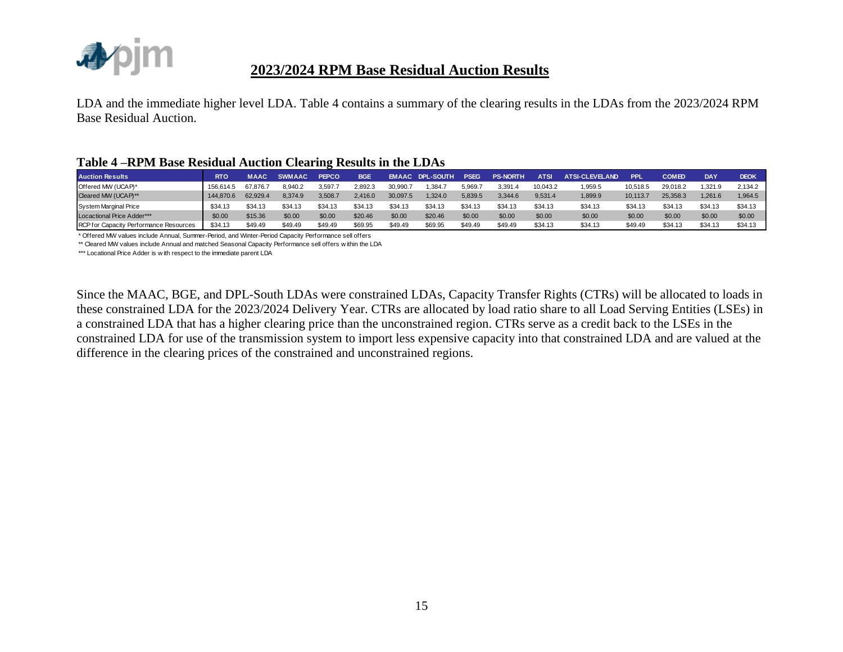

LDA and the immediate higher level LDA. Table 4 contains a summary of the clearing results in the LDAs from the 2023/2024 RPM Base Residual Auction.

#### **Table 4 –RPM Base Residual Auction Clearing Results in the LDAs**

| <b>Auction Results</b>                                                                                   | <b>RTO</b> | <b>MAAC</b> | <b>SWMAAC</b> | <b>PEPCO</b> | <b>BGE</b> |          | <b>EMAAC DPL-SOUTH</b> | <b>PSEG</b> | <b>PS-NORTH</b> | <b>ATSI</b> | <b>ATSI-CLEVELAND</b> | <b>PPL</b> | <b>COMED</b> | DAY     | <b>DEOK</b> |
|----------------------------------------------------------------------------------------------------------|------------|-------------|---------------|--------------|------------|----------|------------------------|-------------|-----------------|-------------|-----------------------|------------|--------------|---------|-------------|
| Offered MW (UCAP)*                                                                                       | 156,614.5  | 67.876.7    | 8,940.2       | 3,597.7      | 2,892.3    | 30,990.7 | 1,384.7                | 5,969.7     | 3,391.4         | 10,043.2    | 1,959.5               | 10,518.5   | 29,018.2     | 1,321.9 | 2,134.2     |
| Cleared MW (UCAP)**                                                                                      | 144,870.6  | 62,929.4    | 8,374.9       | 3,508.7      | 2,416.0    | 30,097.5 | 1,324.0                | 5,839.5     | 3,344.6         | 9,531.4     | 1,899.9               | 10,113.7   | 25,358.3     | 1,261.6 | 1,964.5     |
| <b>System Marginal Price</b>                                                                             | \$34.13    | \$34.13     | \$34.13       | \$34.13      | \$34.13    | \$34.13  | \$34.13                | \$34.13     | \$34.13         | \$34.13     | \$34.13               | \$34.13    | \$34.13      | \$34.13 | \$34.13     |
| Locactional Price Adder***                                                                               | \$0.00     | \$15.36     | \$0.00        | \$0.00       | \$20.46    | \$0.00   | \$20.46                | \$0.00      | \$0.00          | \$0.00      | \$0.00                | \$0.00     | \$0.00       | \$0.00  | \$0.00      |
| RCP for Capacity Performance Resources                                                                   | \$34.13    | \$49.49     | \$49.49       | \$49.49      | \$69.95    | \$49.49  | \$69.95                | \$49.49     | \$49.49         | \$34.13     | \$34.13               | \$49.49    | \$34.13      | \$34.13 | \$34.13     |
| * Offered MW values include Annual, Summer-Period, and Winter-Period Capacity Performance sell offers    |            |             |               |              |            |          |                        |             |                 |             |                       |            |              |         |             |
| ** Cleared MW values include Annual and matched Seasonal Capacity Performance sell offers within the LDA |            |             |               |              |            |          |                        |             |                 |             |                       |            |              |         |             |
| *** Locational Price Adder is with respect to the immediate parent LDA                                   |            |             |               |              |            |          |                        |             |                 |             |                       |            |              |         |             |
|                                                                                                          |            |             |               |              |            |          |                        |             |                 |             |                       |            |              |         |             |

Since the MAAC, BGE, and DPL-South LDAs were constrained LDAs, Capacity Transfer Rights (CTRs) will be allocated to loads in these constrained LDA for the 2023/2024 Delivery Year. CTRs are allocated by load ratio share to all Load Serving Entities (LSEs) in a constrained LDA that has a higher clearing price than the unconstrained region. CTRs serve as a credit back to the LSEs in the constrained LDA for use of the transmission system to import less expensive capacity into that constrained LDA and are valued at the difference in the clearing prices of the constrained and unconstrained regions.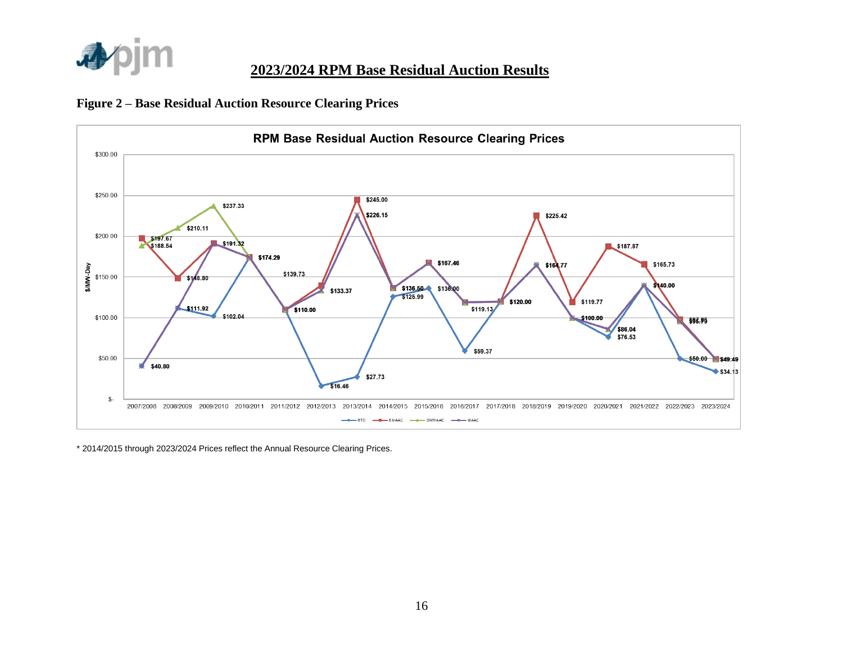





\* 2014/2015 through 2023/2024 Prices reflect the Annual Resource Clearing Prices.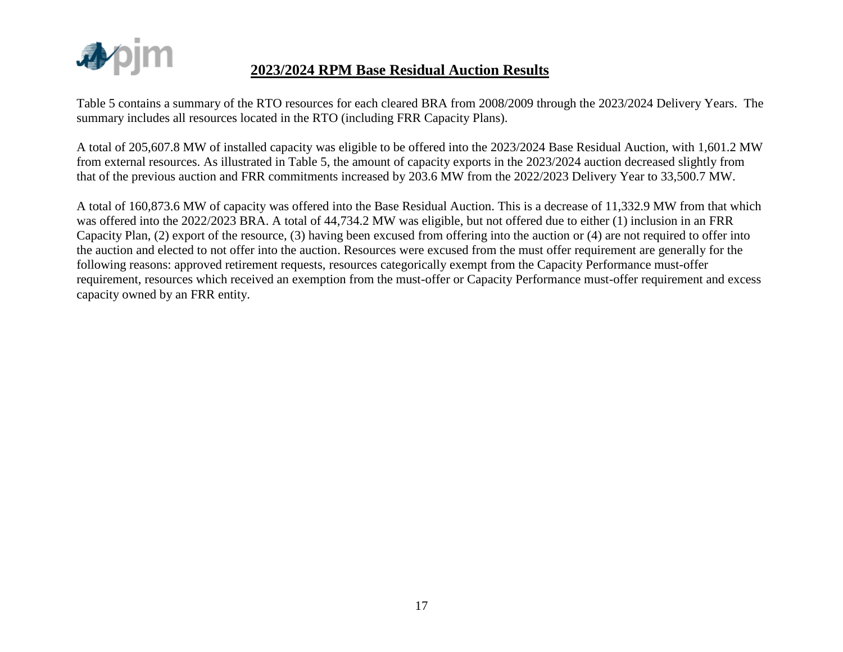

Table 5 contains a summary of the RTO resources for each cleared BRA from 2008/2009 through the 2023/2024 Delivery Years. The summary includes all resources located in the RTO (including FRR Capacity Plans).

A total of 205,607.8 MW of installed capacity was eligible to be offered into the 2023/2024 Base Residual Auction, with 1,601.2 MW from external resources. As illustrated in Table 5, the amount of capacity exports in the 2023/2024 auction decreased slightly from that of the previous auction and FRR commitments increased by 203.6 MW from the 2022/2023 Delivery Year to 33,500.7 MW.

A total of 160,873.6 MW of capacity was offered into the Base Residual Auction. This is a decrease of 11,332.9 MW from that which was offered into the 2022/2023 BRA. A total of 44,734.2 MW was eligible, but not offered due to either (1) inclusion in an FRR Capacity Plan, (2) export of the resource, (3) having been excused from offering into the auction or (4) are not required to offer into the auction and elected to not offer into the auction. Resources were excused from the must offer requirement are generally for the following reasons: approved retirement requests, resources categorically exempt from the Capacity Performance must-offer requirement, resources which received an exemption from the must-offer or Capacity Performance must-offer requirement and excess capacity owned by an FRR entity.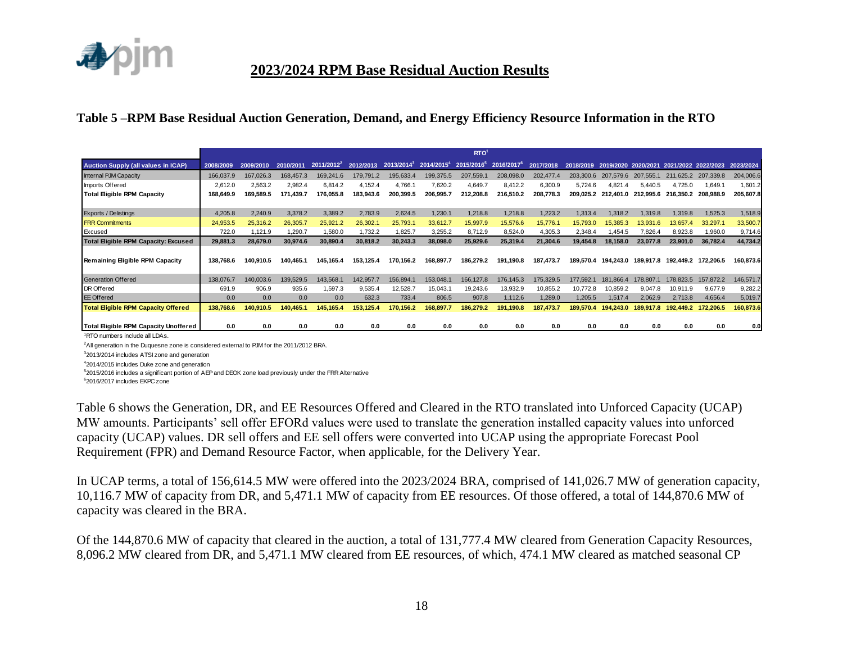

#### **Table 5 –RPM Base Residual Auction Generation, Demand, and Energy Efficiency Resource Information in the RTO**

|                                              |           |           |           |               |           |               |                        | RTO <sup>1</sup> |                        |           |           |                     |           |                     |                     |           |
|----------------------------------------------|-----------|-----------|-----------|---------------|-----------|---------------|------------------------|------------------|------------------------|-----------|-----------|---------------------|-----------|---------------------|---------------------|-----------|
| <b>Auction Supply (all values in ICAP)</b>   | 2008/2009 | 2009/2010 | 2010/2011 | $2011/2012^2$ | 2012/2013 | $2013/2014^3$ | 2014/2015 <sup>4</sup> | $2015/2016^5$    | 2016/2017 <sup>6</sup> | 2017/2018 | 2018/2019 | 2019/2020 2020/2021 |           | 2021/2022 2022/2023 |                     | 2023/2024 |
| <b>Internal PJM Capacity</b>                 | 166,037.9 | 167,026.3 | 168,457.3 | 169,241.6     | 179,791.2 | 195,633.4     | 199,375.5              | 207,559.1        | 208,098.0              | 202,477.4 | 203,300.6 | 207.579.6           | 207.555.1 | 211,625.2           | 207,339.8           | 204,006.6 |
| Imports Offered                              | 2,612.0   | 2,563.2   | 2,982.4   | 6,814.2       | 4,152.4   | 4,766.1       | 7,620.2                | 4,649.7          | 8,412.2                | 6,300.9   | 5,724.6   | 4,821.4             | 5,440.5   | 4,725.0             | 1,649.1             | 1,601.2   |
| <b>Total Eligible RPM Capacity</b>           | 168,649.9 | 169.589.5 | 171.439.7 | 76.055.8      | 183,943.6 | 200.399.5     | 206,995.7              | 212,208.8        | 216,510.2              | 208,778.3 | 209,025.2 | 212,401.0           | 212.995.6 | 216.350.2           | 208,988.9           | 205,607.8 |
|                                              |           |           |           |               |           |               |                        |                  |                        |           |           |                     |           |                     |                     |           |
| Exports / Delistings                         | 4,205.8   | 2,240.9   | 3,378.2   | 3,389.2       | 2,783.9   | 2,624.5       | 1,230.1                | 1,218.8          | 1,218.8                | 1,223.2   | 1,313.4   | 1,318.2             | 1,319.8   | 1,319.8             | 1,525.3             | 1,518.9   |
| <b>FRR Commitments</b>                       | 24,953.5  | 25,316.2  | 26,305.7  | 25,921.2      | 26,302.1  | 25,793.1      | 33,612.7               | 15,997.9         | 15,576.6               | 15,776.7  | 15,793.0  | 15,385.3            | 3,931.    | 13,657.4            | 33,297.1            | 33,500.7  |
| Excused                                      | 722.0     | 1,121.9   | 1,290.7   | 1,580.0       | 1,732.2   | 1,825.7       | 3,255.2                | 8,712.9          | 8,524.0                | 4,305.3   | 2,348.4   | 1,454.              | 7,826.4   | 8,923.8             | 1,960.0             | 9,714.6   |
| <b>Total Eligible RPM Capacity: Excused</b>  | 29,881.3  | 28,679.0  | 30,974.6  | 30,890.4      | 30,818.2  | 30,243.3      | 38,098.0               | 25,929.6         | 25,319.4               | 21,304.6  | 19.454.8  | 18,158.0            | 23.077.8  | 23,901.0            | 36,782.4            | 44,734.2  |
| Remaining Eligible RPM Capacity              | 138.768.6 | 140.910.5 | 140.465.1 | 145,165.4     | 153.125.4 | 170.156.2     | 168,897.7              | 186.279.2        | 191.190.8              | 187,473.7 | 189,570.4 | 194.243.0           | 189,917.8 |                     | 192,449.2 172,206.5 | 160,873.6 |
| Generation Offered                           | 138,076.7 | 140,003.6 | 139,529.5 | 143,568.1     | 142,957.7 | 156,894.1     | 153,048.1              | 166,127.8        | 176,145.3              | 175,329.5 | 177,592.1 | 181,866.            | 178,807.  | 178,823.5           | 157,872.2           | 146,571.7 |
| DR Offered                                   | 691.9     | 906.9     | 935.6     | .597.3        | 9,535.4   | 12,528.7      | 15,043.1               | 19,243.6         | 13,932.9               | 10,855.2  | 10,772.8  | 10,859.2            | 9,047.8   | 10,911.9            | 9,677.9             | 9,282.2   |
| <b>EE</b> Offered                            | 0.0       | 0.0       | 0.0       | 0.0           | 632.3     | 733.4         | 806.5                  | 907.8            | 1,112.6                | 1,289.0   | 1,205.5   | 1,517.4             | 2,062.9   | 2,713.8             | 4,656.4             | 5,019.7   |
| <b>Total Eligible RPM Capacity Offered</b>   | 138,768.6 | 140,910.5 | 140.465.1 | 145.165.4     | 153.125.4 | 170.156.2     | 168.897.7              | 186.279.2        | 191.190.8              | 187,473.7 | 189,570.4 | 194.243.            | 189.917.8 | 192.449.2           | 172,206.5           | 160,873.6 |
| <b>Total Eligible RPM Capacity Unoffered</b> | 0.0       | 0.0       | 0.0       | 0.0           | 0.0       | 0.0           | 0.0                    | 0.0              | 0.0                    | 0.0       | 0.0       | 0.0                 | 0.0       | 0.0                 | 0.0                 | 0.0       |

<sup>1</sup>RTO numbers include all LDAs.

<sup>2</sup>All generation in the Duquesne zone is considered external to PJM for the 2011/2012 BRA.

<sup>3</sup>2013/2014 includes ATSI zone and generation

<sup>4</sup>2014/2015 includes Duke zone and generation

<sup>5</sup>2015/2016 includes a significant portion of AEP and DEOK zone load previously under the FRR Alternative

<sup>6</sup>2016/2017 includes EKPC zone

Table 6 shows the Generation, DR, and EE Resources Offered and Cleared in the RTO translated into Unforced Capacity (UCAP) MW amounts. Participants' sell offer EFORd values were used to translate the generation installed capacity values into unforced capacity (UCAP) values. DR sell offers and EE sell offers were converted into UCAP using the appropriate Forecast Pool Requirement (FPR) and Demand Resource Factor, when applicable, for the Delivery Year.

In UCAP terms, a total of 156,614.5 MW were offered into the 2023/2024 BRA, comprised of 141,026.7 MW of generation capacity, 10,116.7 MW of capacity from DR, and 5,471.1 MW of capacity from EE resources. Of those offered, a total of 144,870.6 MW of capacity was cleared in the BRA.

Of the 144,870.6 MW of capacity that cleared in the auction, a total of 131,777.4 MW cleared from Generation Capacity Resources, 8,096.2 MW cleared from DR, and 5,471.1 MW cleared from EE resources, of which, 474.1 MW cleared as matched seasonal CP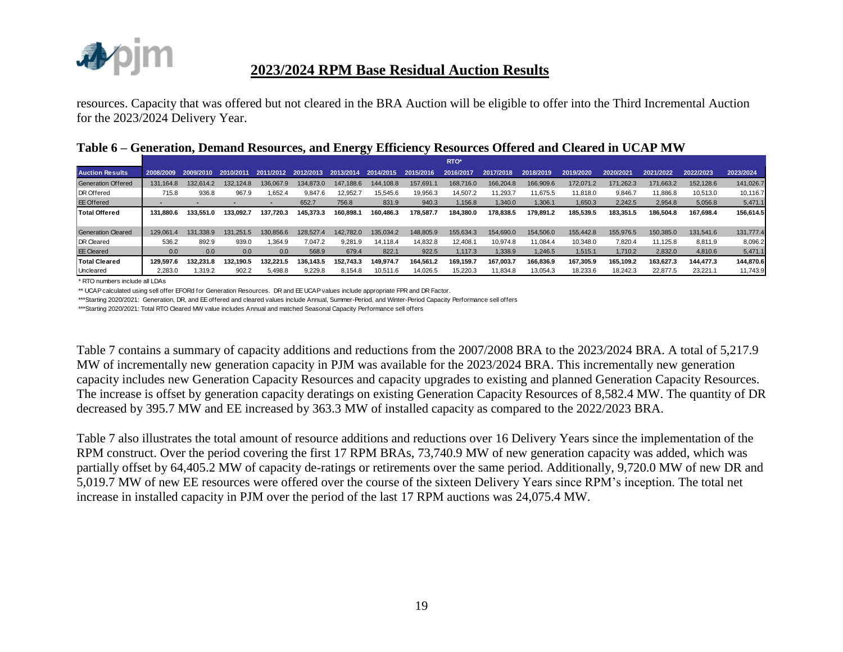

resources. Capacity that was offered but not cleared in the BRA Auction will be eligible to offer into the Third Incremental Auction for the 2023/2024 Delivery Year.

|  |  |  |  | Table 6 – Generation, Demand Resources, and Energy Efficiency Resources Offered and Cleared in UCAP MW |
|--|--|--|--|--------------------------------------------------------------------------------------------------------|
|  |  |  |  |                                                                                                        |

|                           |           |                |           |           |           |           |           |           | <b>RTO*</b>   |           |           |           |           |           |           |           |
|---------------------------|-----------|----------------|-----------|-----------|-----------|-----------|-----------|-----------|---------------|-----------|-----------|-----------|-----------|-----------|-----------|-----------|
| <b>Auction Results</b>    | 2008/2009 | 2009/2010      | 2010/2011 | 2011/2012 | 2012/2013 | 2013/2014 | 2014/2015 | 2015/2016 | 2017/<br>2016 | 7/2018    | 2018/2019 | 2019/2020 | 2020/2021 | 2021/2022 | 2022/2023 | 2023/2024 |
| <b>Generation Offered</b> | 131.164.8 | 132.614.2      | 132.124.8 | 136.067.9 | 134.873.0 | 147.188.6 | 144.108.8 | 157.691.  | 168,716.0     | 166,204.8 | 166,909.6 | 172,071.2 | 171.262.3 | 171,663.2 | 152,128.6 | 141,026.7 |
| DR Offered                | 715.8     | 936.8          | 967.9     | 1.652.4   | 9,847.6   | 12.952.7  | 15,545.6  | 19,956.3  | 14.507.2      | 11.293.7  | 11.675.5  | 11.818.0  | 9.846.7   | 11,886.8  | 10.513.0  | 10,116.7  |
| <b>EE Offered</b>         |           |                |           |           | 652.7     | 756.8     | 831.9     | 940.3     | 1,156.8       | 1,340.0   | 1,306.1   | 1,650.3   | 2.242.5   | 2,954.8   | 5,056.8   | 5,471.1   |
| <b>Total Offered</b>      | 131.880.6 | 133.551.0      | 133.092.7 | 137.720.3 | 145.373.3 | 160.898.1 | 160.486.3 | 178.587.7 | 184.380.0     | 178.838.5 | 179.891.2 | 185,539.5 | 183.351.5 | 186.504.8 | 167.698.4 | 156,614.5 |
|                           |           |                |           |           |           |           |           |           |               |           |           |           |           |           |           |           |
| <b>Generation Cleared</b> | 129.061.4 | .338.9<br>131. | 251.5     | 130.856.6 | 128.527.4 | 142.782.0 | 135.034.2 | 148.805.9 | 155.634.3     | 154,690.0 | 154,506.0 | 155,442.8 | 155.976.5 | 150.385.0 | 131.541.6 | 131,777.4 |
| <b>DR</b> Cleared         | 536.2     | 892.9          | 939.0     | 1.364.9   | 7.047.2   | 9.281.9   | 14.118.4  | 14.832.8  | 12.408.1      | 10.974.8  | 11.084.4  | 10.348.0  | 7.820.4   | 11.125.8  | 8.811.9   | 8,096.2   |
| <b>EE</b> Cleared         | 0.0       | 0.0            | 0.0       | 0.0       | 568.9     | 679.4     | 822.1     | 922.5     | 1.117.3       | 1,338.9   | 1,246.5   | 1,515.1   | 1,710.2   | 2,832.0   | 4,810.6   | 5,471.1   |
| <b>Total Cleared</b>      | 129.597.6 | 132.231.8      | 132.190.5 | 132.221.5 | 136.143.5 | 152.743.3 | 149.974.7 | 164.561.2 | 169.159.7     | 167.003.7 | 166.836.9 | 167.305.9 | 165.109.2 | 163.627.3 | 144.477.3 | 144,870.6 |
| Uncleared                 | 2.283.0   | 1.319.2        | 902.2     | 5,498.8   | 9.229.8   | 8.154.8   | 10.511.6  | 14.026.5  | 15.220.3      | 11.834.8  | 13,054.3  | 18,233.6  | 18.242.3  | 22,877.5  | 23,221.1  | 11,743.9  |

\* RTO numbers include all LDAs

\*\* UCAP calculated using sell offer EFORd for Generation Resources. DR and EE UCAP values include appropriate FPR and DR Factor.

\*\*\*Starting 2020/2021: Generation, DR, and EE offered and cleared values include Annual, Summer-Period, and Winter-Period Capacity Performance sell offers

\*\*\*Starting 2020/2021: Total RTO Cleared MW value includes Annual and matched Seasonal Capacity Performance sell offers

Table 7 contains a summary of capacity additions and reductions from the 2007/2008 BRA to the 2023/2024 BRA. A total of 5,217.9 MW of incrementally new generation capacity in PJM was available for the 2023/2024 BRA. This incrementally new generation capacity includes new Generation Capacity Resources and capacity upgrades to existing and planned Generation Capacity Resources. The increase is offset by generation capacity deratings on existing Generation Capacity Resources of 8,582.4 MW. The quantity of DR decreased by 395.7 MW and EE increased by 363.3 MW of installed capacity as compared to the 2022/2023 BRA.

Table 7 also illustrates the total amount of resource additions and reductions over 16 Delivery Years since the implementation of the RPM construct. Over the period covering the first 17 RPM BRAs, 73,740.9 MW of new generation capacity was added, which was partially offset by 64,405.2 MW of capacity de-ratings or retirements over the same period. Additionally, 9,720.0 MW of new DR and 5,019.7 MW of new EE resources were offered over the course of the sixteen Delivery Years since RPM's inception. The total net increase in installed capacity in PJM over the period of the last 17 RPM auctions was 24,075.4 MW.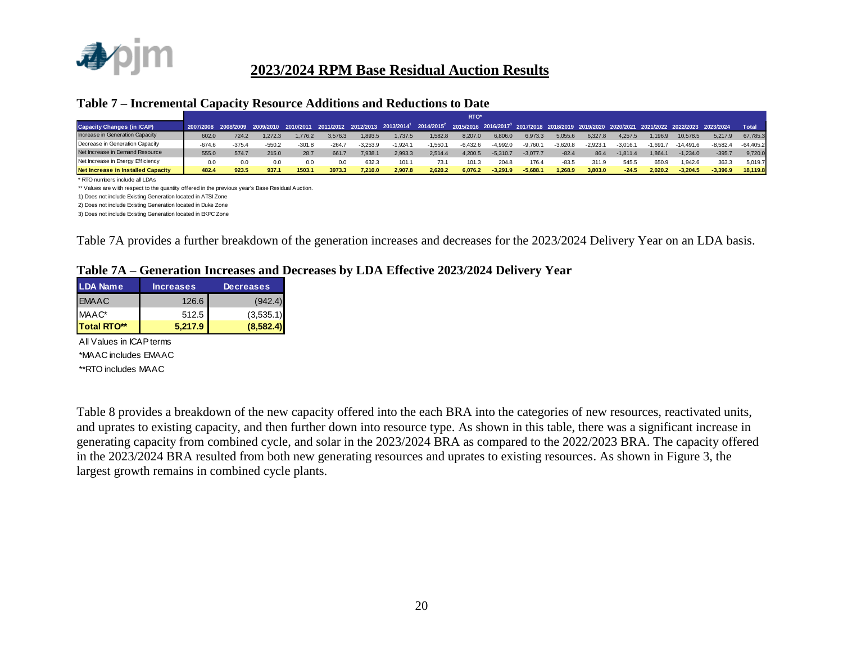

#### **Table 7 – Incremental Capacity Resource Additions and Reductions to Date**

|                                    | <b>RTO</b> |          |          |          |         |            |                                                                                                                                                                                                                  |           |            |            |            |            |            |            |           |             |            |              |
|------------------------------------|------------|----------|----------|----------|---------|------------|------------------------------------------------------------------------------------------------------------------------------------------------------------------------------------------------------------------|-----------|------------|------------|------------|------------|------------|------------|-----------|-------------|------------|--------------|
| <b>Capacity Changes (in ICAP)</b>  |            |          |          |          |         |            | 2007/2008 2008/2009 2009/2010 2010/2011 2011/2012 2012/2013 2013/2014 <sup>1</sup> 2014/2015 <sup>2</sup> 2015/2016 2016/2017 <sup>3</sup> 2017/2018 2018/2019 2019/2020 2020/2021 2021/2022 2022/2023 2023/2024 |           |            |            |            |            |            |            |           |             |            | <b>Total</b> |
| Increase in Generation Capacity    | 602.0      | 724.2    | 1.272.3  | .776.2   | 3.576.3 | 1.893.5    | .737.5                                                                                                                                                                                                           | 1.582.8   | 8.207.0    | 6.806.0    | 6.973.3    | 5.055.6    | 6.327.8    | 4.257.5    | 1.196.9   | 10.578.5    | 5.217.9    | 67.785.3     |
| Decrease in Generation Capacity    | $-674.6$   | $-375.4$ | $-550.2$ | $-301.8$ | $-264.$ | $-3.253.9$ | $-1.924.1$                                                                                                                                                                                                       | $-1.550.$ | $-6.432.6$ | $-4.992.0$ | $-9.760.1$ | $-3.620.8$ | $-2,923.1$ | $-3.016.1$ | $-1.691.$ | $-14.491.6$ | $-8.582.4$ | $-64.405.2$  |
| Net Increase in Demand Resource    | 555.0      | 574.7    | 215.0    | 28.7     | 661.7   | 7.938.1    | 2.993.3                                                                                                                                                                                                          | 2.514.4   | 4.200.5    | $-5.310.7$ | $-3.077.7$ | $-82.4$    | 86.4       | $-1.811.4$ | 1.864.    | $-1.234.0$  | $-395.7$   | 9.720.0      |
| Net Increase in Energy Efficiency  | 0.0        | 0.0      | 0.0      |          | 0.0     | 632.3      | 101.1                                                                                                                                                                                                            | 73.1      | 101.3      | 204.8      | 176.4      | $-83.5$    | 311.9      | 545.5      | 650.9     | 1.942.6     | 363.3      | 5.019.7      |
| Net Increase in Installed Capacity | 482.4      | 923.5    | 937.1    | 1503.1   | 3973.3  | 7.210.0    | 2.907.8                                                                                                                                                                                                          | 2.620.2   | 6.076.2    | $-3.291.9$ | $-5.688.1$ | 1.268.9    | 3,803.0    | $-24.5$    | 2.020.2   | $-3.204.5$  | $-3.396.9$ | 18.119.8     |

\* RTO numbers include all LDAs

\*\* Values are w ith respect to the quantity offered in the previous year's Base Residual Auction.

1) Does not include Existing Generation located in ATSI Zone

2) Does not include Existing Generation located in Duke Zone

3) Does not include Existing Generation located in EKPC Zone

Table 7A provides a further breakdown of the generation increases and decreases for the 2023/2024 Delivery Year on an LDA basis.

#### **Table 7A – Generation Increases and Decreases by LDA Effective 2023/2024 Delivery Year**

| <b>LDA Name</b>    | <b>Increases</b> | <b>Decreases</b> |
|--------------------|------------------|------------------|
| <b>EMAAC</b>       | 126.6            | (942.4)          |
| $MAAC^*$           | 512.5            | (3,535.1)        |
| <b>Total RTO**</b> | 5.217.9          | (8,582.4)        |

\*MAAC includes EMAAC \*\*RTO includes MAAC All Values in ICAP terms

Table 8 provides a breakdown of the new capacity offered into the each BRA into the categories of new resources, reactivated units, and uprates to existing capacity, and then further down into resource type. As shown in this table, there was a significant increase in generating capacity from combined cycle, and solar in the 2023/2024 BRA as compared to the 2022/2023 BRA. The capacity offered in the 2023/2024 BRA resulted from both new generating resources and uprates to existing resources. As shown in Figure 3, the largest growth remains in combined cycle plants.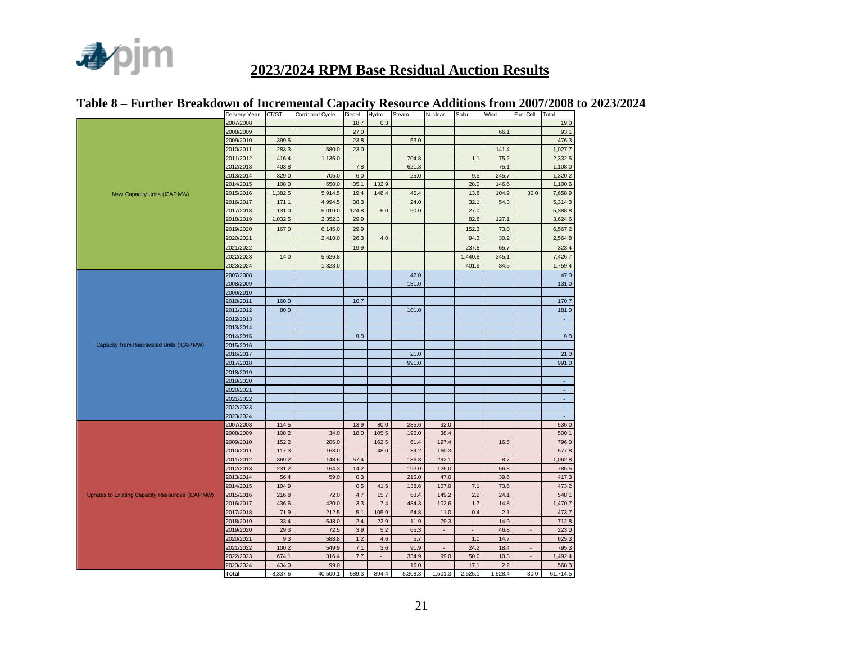

|                                                  | Delivery Year | CT/GT   | Combined Cycle | Diesel | Hydro                    | Steam   | Nuclear | Solar                    | Wind    | Fuel Cell                | Total                    |
|--------------------------------------------------|---------------|---------|----------------|--------|--------------------------|---------|---------|--------------------------|---------|--------------------------|--------------------------|
|                                                  | 2007/2008     |         |                | 18.7   | 0.3                      |         |         |                          |         |                          | 19.0                     |
|                                                  | 2008/2009     |         |                | 27.0   |                          |         |         |                          | 66.1    |                          | 93.1                     |
|                                                  | 2009/2010     | 399.5   |                | 23.8   |                          | 53.0    |         |                          |         |                          | 476.3                    |
|                                                  | 2010/2011     | 283.3   | 580.0          | 23.0   |                          |         |         |                          | 141.4   |                          | 1,027.7                  |
|                                                  | 2011/2012     | 416.4   | 1,135.0        |        |                          | 704.8   |         | 1.1                      | 75.2    |                          | 2,332.5                  |
|                                                  | 2012/2013     | 403.8   |                | 7.8    |                          | 621.3   |         |                          | 75.1    |                          | 1,108.0                  |
|                                                  | 2013/2014     | 329.0   | 705.0          | 6.0    |                          | 25.0    |         | 9.5                      | 245.7   |                          | 1,320.2                  |
|                                                  | 2014/2015     | 108.0   | 650.0          | 35.1   | 132.9                    |         |         | 28.0                     | 146.6   |                          | 1,100.6                  |
| New Capacity Units (ICAP MW)                     | 2015/2016     | 1,382.5 | 5,914.5        | 19.4   | 148.4                    | 45.4    |         | 13.8                     | 104.9   | 30.0                     | 7,658.9                  |
|                                                  | 2016/2017     | 171.1   | 4,994.5        | 38.3   |                          | 24.0    |         | 32.1                     | 54.3    |                          | 5,314.3                  |
|                                                  | 2017/2018     | 131.0   | 5,010.0        | 124.8  | 6.0                      | 90.0    |         | 27.0                     |         |                          | 5,388.8                  |
|                                                  | 2018/2019     | 1,032.5 | 2,352.3        | 29.9   |                          |         |         | 82.8                     | 127.1   |                          | 3,624.6                  |
|                                                  | 2019/2020     | 167.0   | 6,145.0        | 29.9   |                          |         |         | 152.3                    | 73.0    |                          | 6,567.2                  |
|                                                  | 2020/2021     |         | 2,410.0        | 26.3   | 4.0                      |         |         | 94.3                     | 30.2    |                          | 2,564.8                  |
|                                                  | 2021/2022     |         |                | 19.9   |                          |         |         | 237.8                    | 65.7    |                          | 323.4                    |
|                                                  | 2022/2023     | 14.0    | 5,626.8        |        |                          |         |         | 1,440.8                  | 345.1   |                          | 7,426.7                  |
|                                                  | 2023/2024     |         | 1,323.0        |        |                          |         |         | 401.9                    | 34.5    |                          | 1,759.4                  |
|                                                  | 2007/2008     |         |                |        |                          | 47.0    |         |                          |         |                          | 47.0                     |
|                                                  | 2008/2009     |         |                |        |                          | 131.0   |         |                          |         |                          | 131.0                    |
|                                                  | 2009/2010     |         |                |        |                          |         |         |                          |         |                          |                          |
|                                                  | 2010/2011     | 160.0   |                | 10.7   |                          |         |         |                          |         |                          | 170.7                    |
|                                                  | 2011/2012     | 80.0    |                |        |                          | 101.0   |         |                          |         |                          | 181.0                    |
|                                                  | 2012/2013     |         |                |        |                          |         |         |                          |         |                          | ÷.                       |
|                                                  | 2013/2014     |         |                |        |                          |         |         |                          |         |                          | ÷.                       |
|                                                  | 2014/2015     |         |                | 9.0    |                          |         |         |                          |         |                          | 9.0                      |
| Capacity from Reactivated Units (ICAP MW)        | 2015/2016     |         |                |        |                          |         |         |                          |         |                          | $\overline{\phantom{a}}$ |
|                                                  | 2016/2017     |         |                |        |                          | 21.0    |         |                          |         |                          | 21.0                     |
|                                                  | 2017/2018     |         |                |        |                          | 991.0   |         |                          |         |                          | 991.0                    |
|                                                  | 2018/2019     |         |                |        |                          |         |         |                          |         |                          | ÷,                       |
|                                                  | 2019/2020     |         |                |        |                          |         |         |                          |         |                          | L.                       |
|                                                  | 2020/2021     |         |                |        |                          |         |         |                          |         |                          | ÷.                       |
|                                                  | 2021/2022     |         |                |        |                          |         |         |                          |         |                          | ÷.                       |
|                                                  | 2022/2023     |         |                |        |                          |         |         |                          |         |                          | $\overline{\phantom{a}}$ |
|                                                  | 2023/2024     |         |                |        |                          |         |         |                          |         |                          | ×.                       |
|                                                  | 2007/2008     | 114.5   |                | 13.9   | 80.0                     | 235.6   | 92.0    |                          |         |                          | 536.0                    |
|                                                  | 2008/2009     | 108.2   | 34.0           | 18.0   | 105.5                    | 196.0   | 38.4    |                          |         |                          | 500.1                    |
|                                                  | 2009/2010     | 152.2   | 206.0          |        | 162.5                    | 61.4    | 197.4   |                          | 16.5    |                          | 796.0                    |
|                                                  | 2010/2011     | 117.3   | 163.0          |        | 48.0                     | 89.2    | 160.3   |                          |         |                          | 577.8                    |
|                                                  | 2011/2012     | 369.2   | 148.6          | 57.4   |                          | 186.8   | 292.1   |                          | 8.7     |                          | 1,062.8                  |
|                                                  | 2012/2013     | 231.2   | 164.3          | 14.2   |                          | 193.0   | 126.0   |                          | 56.8    |                          | 785.5                    |
|                                                  | 2013/2014     | 56.4    | 59.0           | 0.3    |                          | 215.0   | 47.0    |                          | 39.6    |                          | 417.3                    |
|                                                  | 2014/2015     | 104.9   |                | 0.5    | 41.5                     | 138.6   | 107.0   | 7.1                      | 73.6    |                          | 473.2                    |
| Uprates to Existing Capacity Resources (ICAP MW) | 2015/2016     | 216.8   | 72.0           | 4.7    | 15.7                     | 63.4    | 149.2   | 2.2                      | 24.1    |                          | 548.1                    |
|                                                  | 2016/2017     | 436.6   | 420.0          | 3.3    | 7.4                      | 484.3   | 102.6   | 1.7                      | 14.8    |                          | 1,470.7                  |
|                                                  | 2017/2018     | 71.9    | 212.5          | 5.1    | 105.9                    | 64.8    | 11.0    | 0.4                      | 2.1     |                          | 473.7                    |
|                                                  | 2018/2019     | 33.4    | 548.0          | 2.4    | 22.9                     | 11.9    | 79.3    | $\overline{\phantom{a}}$ | 14.9    | $\overline{\phantom{a}}$ | 712.8                    |
|                                                  | 2019/2020     | 29.3    | 72.5           | 3.9    | 5.2                      | 65.3    | ÷.      | ÷,                       | 46.8    | ÷.                       | 223.0                    |
|                                                  | 2020/2021     | 9.3     | 588.8          | 1.2    | 4.6                      | 5.7     |         | 1.0                      | 14.7    |                          | 625.3                    |
|                                                  | 2021/2022     | 100.2   | 549.9          | 7.1    | 3.6                      | 91.9    | $\sim$  | 24.2                     | 18.4    | $\overline{\phantom{a}}$ | 795.3                    |
|                                                  | 2022/2023     | 674.1   | 316.4          | 7.7    | $\overline{\phantom{a}}$ | 334.9   | 99.0    | 50.0                     | 10.3    | $\sim$                   | 1,492.4                  |
|                                                  | 2023/2024     | 434.0   | 99.0           |        |                          | 16.0    |         | 17.1                     | 2.2     |                          | 568.3                    |
|                                                  | <b>Total</b>  | 8,337.6 | 40,500.1       | 589.3  | 894.4                    | 5,308.3 | 1,501.3 | 2,625.1                  | 1,928.4 | 30.0                     | 61,714.5                 |

### **Table 8 – Further Breakdown of Incremental Capacity Resource Additions from 2007/2008 to 2023/2024**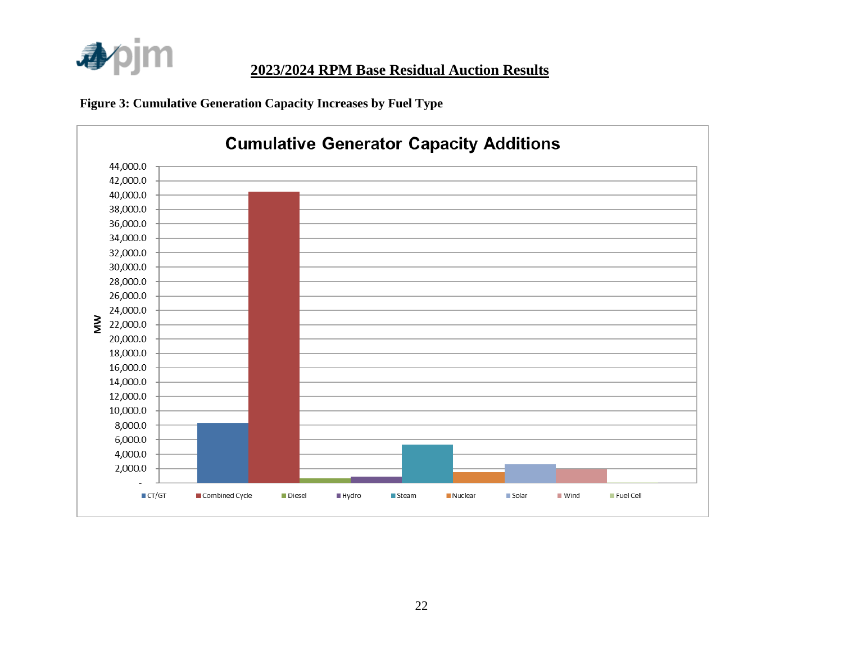

**Figure 3: Cumulative Generation Capacity Increases by Fuel Type** 

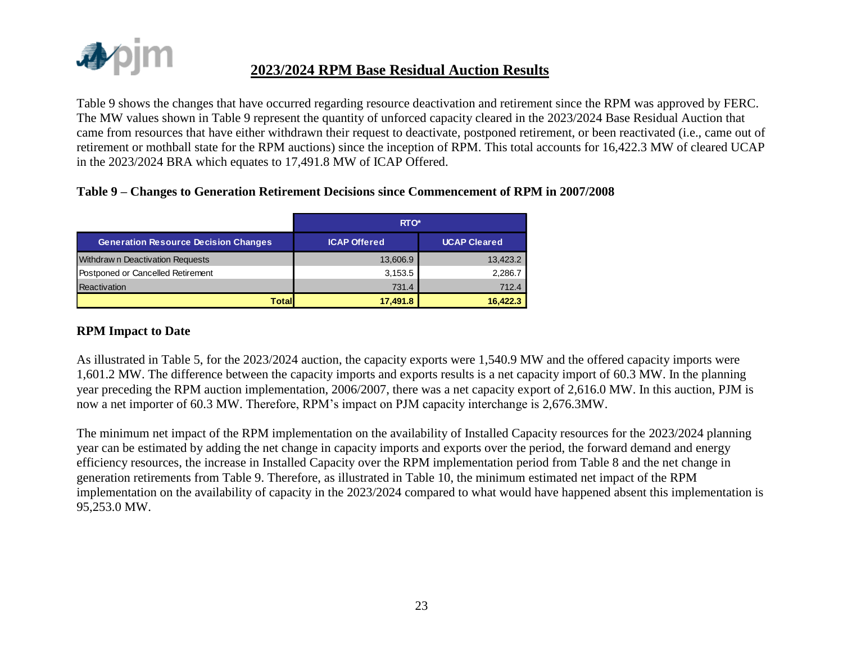

Table 9 shows the changes that have occurred regarding resource deactivation and retirement since the RPM was approved by FERC. The MW values shown in Table 9 represent the quantity of unforced capacity cleared in the 2023/2024 Base Residual Auction that came from resources that have either withdrawn their request to deactivate, postponed retirement, or been reactivated (i.e., came out of retirement or mothball state for the RPM auctions) since the inception of RPM. This total accounts for 16,422.3 MW of cleared UCAP in the 2023/2024 BRA which equates to 17,491.8 MW of ICAP Offered.

#### **Table 9 – Changes to Generation Retirement Decisions since Commencement of RPM in 2007/2008**

|                                             | RTO*                |                     |  |  |  |  |  |
|---------------------------------------------|---------------------|---------------------|--|--|--|--|--|
| <b>Generation Resource Decision Changes</b> | <b>ICAP Offered</b> | <b>UCAP Cleared</b> |  |  |  |  |  |
| Withdraw n Deactivation Requests            | 13,606.9            | 13,423.2            |  |  |  |  |  |
| Postponed or Cancelled Retirement           | 3,153.5             | 2,286.7             |  |  |  |  |  |
| Reactivation                                | 731.4               | 712.4               |  |  |  |  |  |
| <b>Total</b>                                | 17,491.8            | 16.422.3            |  |  |  |  |  |

#### **RPM Impact to Date**

As illustrated in Table 5, for the 2023/2024 auction, the capacity exports were 1,540.9 MW and the offered capacity imports were 1,601.2 MW. The difference between the capacity imports and exports results is a net capacity import of 60.3 MW. In the planning year preceding the RPM auction implementation, 2006/2007, there was a net capacity export of 2,616.0 MW. In this auction, PJM is now a net importer of 60.3 MW. Therefore, RPM's impact on PJM capacity interchange is 2,676.3MW.

The minimum net impact of the RPM implementation on the availability of Installed Capacity resources for the 2023/2024 planning year can be estimated by adding the net change in capacity imports and exports over the period, the forward demand and energy efficiency resources, the increase in Installed Capacity over the RPM implementation period from Table 8 and the net change in generation retirements from Table 9. Therefore, as illustrated in Table 10, the minimum estimated net impact of the RPM implementation on the availability of capacity in the 2023/2024 compared to what would have happened absent this implementation is 95,253.0 MW.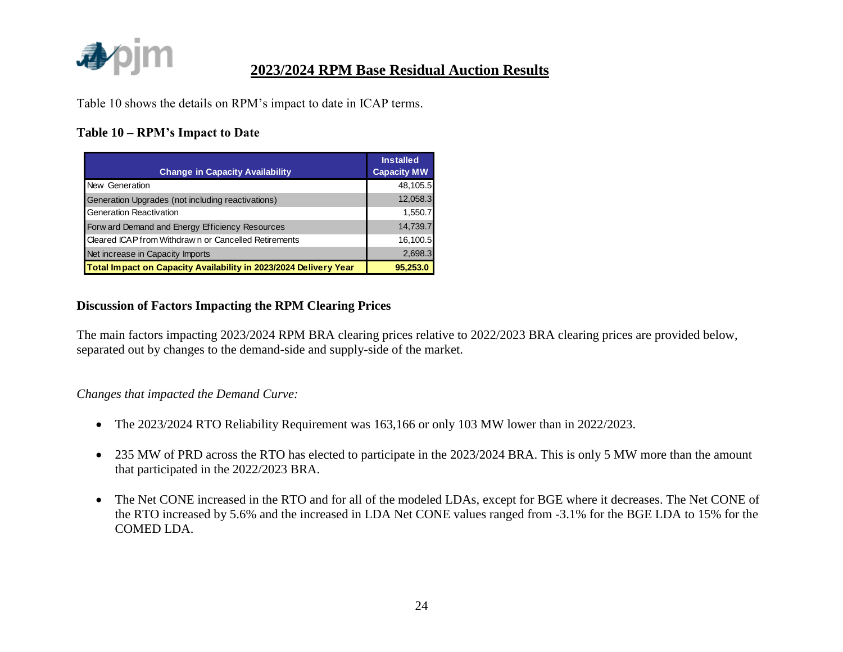

Table 10 shows the details on RPM's impact to date in ICAP terms.

### **Table 10 – RPM's Impact to Date**

| <b>Change in Capacity Availability</b>                           | <b>Installed</b><br><b>Capacity MW</b> |
|------------------------------------------------------------------|----------------------------------------|
| New Generation                                                   | 48,105.5                               |
| Generation Upgrades (not including reactivations)                | 12,058.3                               |
| Generation Reactivation                                          | 1,550.7                                |
| Forw ard Demand and Energy Efficiency Resources                  | 14,739.7                               |
| Cleared ICAP from Withdraw n or Cancelled Retirements            | 16,100.5                               |
| Net increase in Capacity Imports                                 | 2,698.3                                |
| Total Impact on Capacity Availability in 2023/2024 Delivery Year | 95,253.0                               |

#### **Discussion of Factors Impacting the RPM Clearing Prices**

The main factors impacting 2023/2024 RPM BRA clearing prices relative to 2022/2023 BRA clearing prices are provided below, separated out by changes to the demand-side and supply-side of the market.

#### *Changes that impacted the Demand Curve:*

- The 2023/2024 RTO Reliability Requirement was 163,166 or only 103 MW lower than in 2022/2023.
- 235 MW of PRD across the RTO has elected to participate in the 2023/2024 BRA. This is only 5 MW more than the amount that participated in the 2022/2023 BRA.
- The Net CONE increased in the RTO and for all of the modeled LDAs, except for BGE where it decreases. The Net CONE of the RTO increased by 5.6% and the increased in LDA Net CONE values ranged from -3.1% for the BGE LDA to 15% for the COMED LDA.